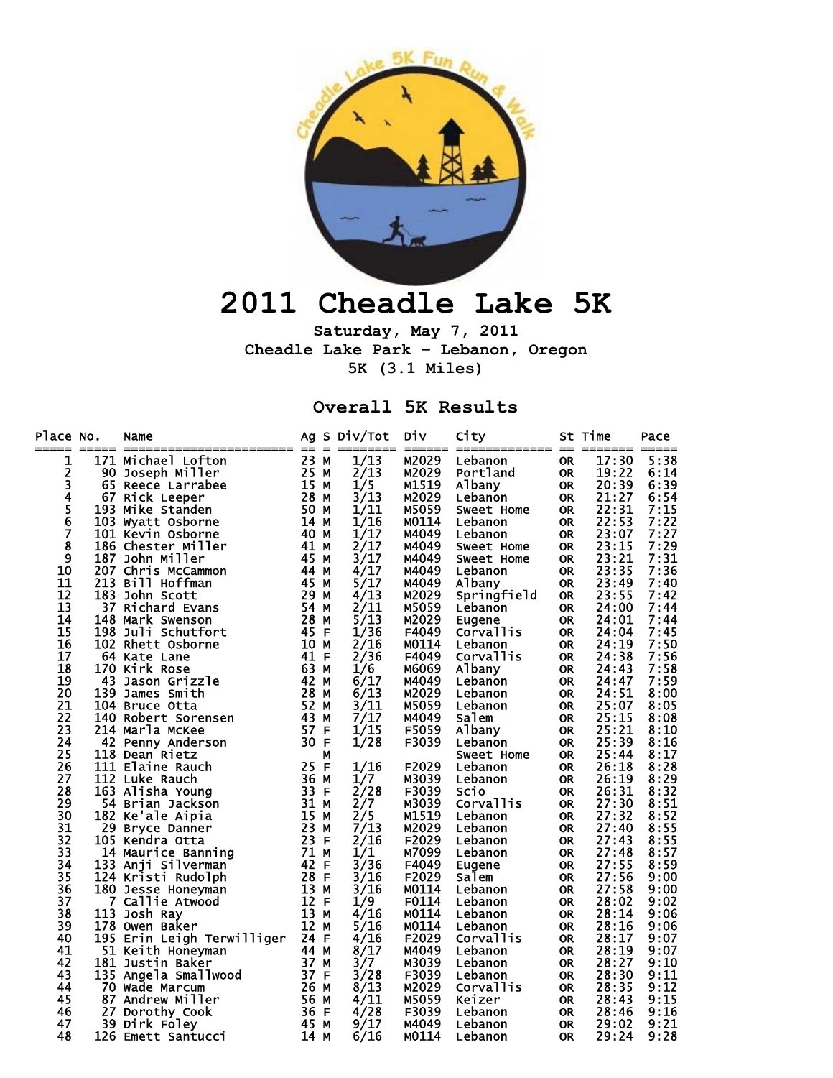

## **2011 Cheadle Lake 5K**

**Saturday, May 7, 2011 Cheadle Lake Park – Lebanon, Oregon 5K (3.1 Miles)** 

## **Overall 5K Results**

| Place No.      |     | Name                                   |        |   | Ag S Div/Tot | DİV            | City        |           | St Time | Pace         |
|----------------|-----|----------------------------------------|--------|---|--------------|----------------|-------------|-----------|---------|--------------|
| =====<br>1     |     | 171 Michael Lofton                     | 23 M   |   | 1/13         | M2029          | Lebanon     | <b>OR</b> | 17:30   | 5:38         |
| 2              | 90  | Joseph Miller                          | 25 M   |   | 2/13         | M2029          | Portland    | <b>OR</b> | 19:22   | 6:14         |
| 3              |     | 65 Reece Larrabee                      | $15$ M |   | 1/5          | M1519          | Albany      | <b>OR</b> | 20:39   | 6:39         |
| 4              |     | 67 Rick Leeper                         | 28 M   |   | 3/13         | M2029          | Lebanon     | <b>OR</b> | 21:27   | 6:54         |
| 5              |     | 193 Mike Standen                       | 50 M   |   | 1/11         | M5059          | Sweet Home  | <b>OR</b> | 22:31   | 7:15         |
| $\overline{6}$ |     | 103 Wyatt Osborne                      | 14 M   |   | 1/16         | M0114          | Lebanon     | <b>OR</b> | 22:53   | 7:22         |
| 7              |     | 101 Kevin Osborne                      | 40 M   |   | 1/17         | M4049          | Lebanon     | <b>OR</b> | 23:07   | 7:27         |
| 8              |     | 186 Chester Miller                     | 41 M   |   | 2/17         | M4049          | Sweet Home  | <b>OR</b> | 23:15   | 7:29         |
| 9              |     | 187 John Miller                        | 45 M   |   | 3/17         | M4049          | Sweet Home  | <b>OR</b> | 23:21   | 7:31         |
| 10             |     | 207 Chris McCammon                     | 44 M   |   | 4/17         | M4049          | Lebanon     | <b>OR</b> | 23:35   | 7:36         |
| 11             |     | 213 Bill Hoffman                       | 45 M   |   | 5/17         | M4049          | Albany      | <b>OR</b> | 23:49   | 7:40         |
| 12             |     | 183 John Scott                         | 29 M   |   | 4/13         | M2029          | Springfield | <b>OR</b> | 23:55   | 7:42         |
| 13             |     | 37 Richard Evans                       | 54 M   |   | 2/11         | M5059          | Lebanon     | <b>OR</b> | 24:00   | 7:44         |
| 14             |     | 148 Mark Swenson                       | 28 M   |   | 5/13         | M2029          | Eugene      | <b>OR</b> | 24:01   | 7:44         |
| 15             |     | 198 Juli Schutfort                     | 45 F   |   | 1/36         | F4049          | Corvallis   | <b>OR</b> | 24:04   | 7:45         |
| 16             |     | 102 Rhett Osborne                      | 10 M   |   | 2/16         | M0114          | Lebanon     | <b>OR</b> | 24:19   | 7:50         |
| 17             |     | 64 Kate Lane                           | 41 F   |   | 2/36         | F4049          | Corvallis   | <b>OR</b> | 24:38   | 7:56         |
| 18             |     | 170 Kirk Rose                          | 63 M   |   | 1/6          | M6069          | Albany      | OR.       | 24:43   | 7:58         |
| 19             | 43  | Jason Grizzle                          | 42 M   |   | 6/17         | M4049          | Lebanon     | <b>OR</b> | 24:47   | 7:59         |
| 20             | 139 | James Smith                            | 28 M   |   | 6/13         | M2029          | Lebanon     | OR.       | 24:51   | 8:00         |
| 21             |     | 104 Bruce Otta                         | 52 M   |   | 3/11         | M5059          | Lebanon     | <b>OR</b> | 25:07   | 8:05         |
| 22             |     |                                        | 43 M   |   | 7/17         |                |             |           | 25:15   |              |
| 23             |     | 140 Robert Sorensen<br>214 Marla McKee | 57 F   |   | 1/15         | M4049<br>F5059 | Salem       | <b>OR</b> | 25:21   | 8:08<br>8:10 |
|                |     |                                        | 30 F   |   |              |                | Albany      | <b>OR</b> |         |              |
| 24<br>25       |     | 42 Penny Anderson<br>118 Dean Rietz    |        |   | 1/28         | F3039          | Lebanon     | OR.       | 25:39   | 8:16<br>8:17 |
|                |     |                                        |        | М |              |                | Sweet Home  | <b>OR</b> | 25:44   |              |
| 26             |     | 111 Elaine Rauch                       | 25 F   |   | 1/16         | F2029          | Lebanon     | <b>OR</b> | 26:18   | 8:28         |
| 27             |     | 112 Luke Rauch                         | 36 M   |   | 1/7          | M3039          | Lebanon     | <b>OR</b> | 26:19   | 8:29         |
| 28             |     | 163 Alisha Young                       | 33 F   |   | 2/28         | F3039          | Scio        | <b>OR</b> | 26:31   | 8:32         |
| 29             |     | 54 Brian Jackson                       | 31 M   |   | 2/7          | M3039          | Corvallis   | <b>OR</b> | 27:30   | 8:51         |
| 30             |     | 182 Ke'ale Aipia                       | 15 M   |   | 2/5          | M1519          | Lebanon     | <b>OR</b> | 27:32   | 8:52         |
| 31             |     | 29 Bryce Danner                        | 23 M   |   | 7/13         | M2029          | Lebanon     | <b>OR</b> | 27:40   | 8:55         |
| 32             |     | 105 Kendra Otta                        | 23 F   |   | 2/16         | F2029          | Lebanon     | <b>OR</b> | 27:43   | 8:55         |
| 33             |     | 14 Maurice Banning                     | 71 M   |   | 1/1          | M7099          | Lebanon     | OR.       | 27:48   | 8:57         |
| 34             |     | 133 Anji Silverman                     | 42 F   |   | 3/36         | F4049          | Eugene      | <b>OR</b> | 27:55   | 8:59         |
| 35             |     | 124 Kristi Rudolph                     | 28 F   |   | 3/16         | F2029          | Salem       | <b>OR</b> | 27:56   | 9:00         |
| 36             |     | 180 Jesse Honeyman                     | 13 M   |   | 3/16         | M0114          | Lebanon     | <b>OR</b> | 27:58   | 9:00         |
| 37             |     | 7 Callie Atwood                        | 12 F   |   | 1/9          | F0114          | Lebanon     | OR.       | 28:02   | 9:02         |
| 38             |     | 113 Josh Ray                           | 13 M   |   | 4/16         | M0114          | Lebanon     | OR.       | 28:14   | 9:06         |
| 39             |     | 178 Owen Baker                         | 12 M   |   | 5/16         | M0114          | Lebanon     | 0R        | 28:16   | 9:06         |
| 40             |     | 195 Erin Leigh Terwilliger             | 24 F   |   | 4/16         | F2029          | Corvallis   | <b>OR</b> | 28:17   | 9:07         |
| 41             |     | 51 Keith Honeyman                      | 44 M   |   | 8/17         | M4049          | Lebanon     | <b>OR</b> | 28:19   | 9:07         |
| 42             |     | 181 Justin Baker                       | 37 M   |   | 3/7          | M3039          | Lebanon     | <b>OR</b> | 28:27   | 9:10         |
| 43             |     | 135 Angela Smallwood                   | 37 F   |   | 3/28         | F3039          | Lebanon     | <b>OR</b> | 28:30   | 9:11         |
| 44             |     | 70 Wade Marcum                         | 26 M   |   | 8/13         | M2029          | Corvallis   | <b>OR</b> | 28:35   | 9:12         |
| 45             |     | 87 Andrew Miller                       | 56 M   |   | 4/11         | M5059          | Keizer      | <b>OR</b> | 28:43   | 9:15         |
| 46             | 27  | Dorothy_Cook                           | 36 F   |   | 4/28         | F3039          | Lebanon     | <b>OR</b> | 28:46   | 9:16         |
| 47             | 39  | Dirk Foley                             | 45 M   |   | 9/17         | M4049          | Lebanon     | <b>OR</b> | 29:02   | 9:21         |
| 48             |     | 126 Emett Santucci                     | 14 M   |   | 6/16         | M0114          | Lebanon     | <b>OR</b> | 29:24   | 9:28         |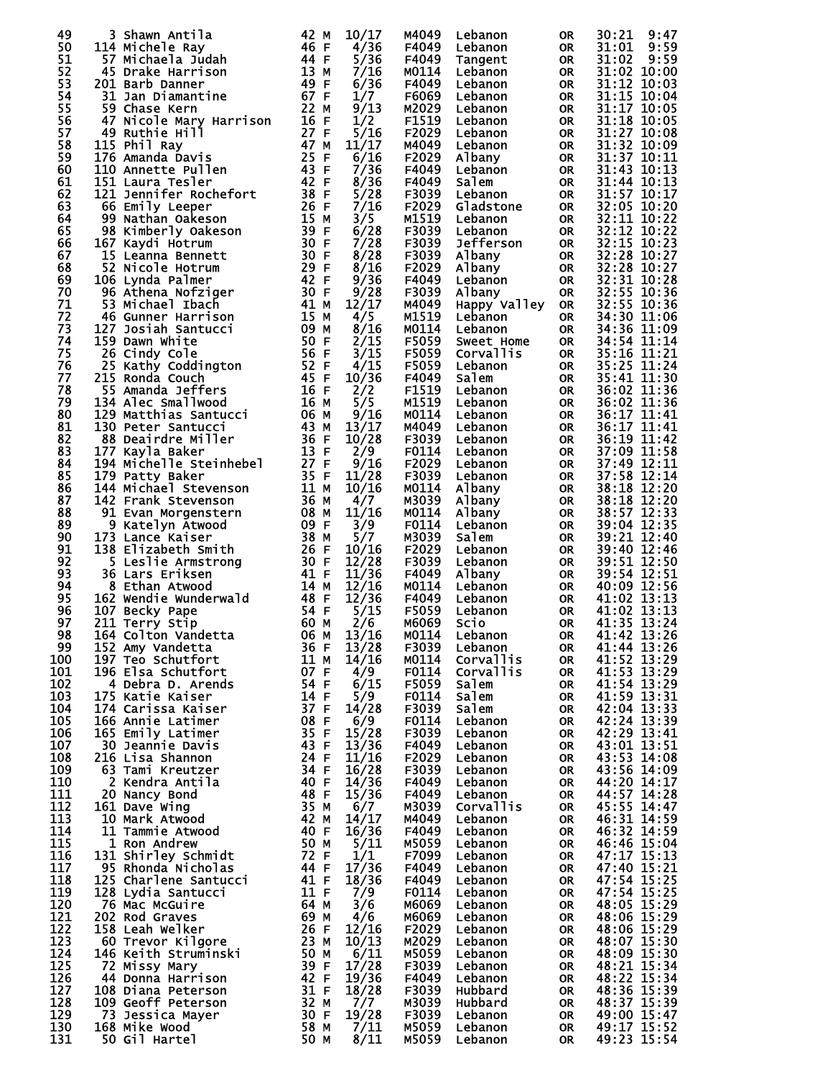| 49          | 3 Shawn Antila          | 42 M      | 10/17 | M4049 | Lebanon          |           | 30:21<br>9:47 |
|-------------|-------------------------|-----------|-------|-------|------------------|-----------|---------------|
| 50          |                         | 46 F      |       | F4049 |                  | OR        |               |
|             | 114 Michele Ray         |           | 4/36  |       | Lebanon          | <b>OR</b> | 31:01<br>9:59 |
| 51          | 57 Michaela Judah       | 44 F      | 5/36  | F4049 | Tangent          | <b>OR</b> | 31:02<br>9:59 |
| 52          | 45 Drake Harrison       | 13 M      | 7/16  | M0114 | Lebanon          | <b>OR</b> | 31:02 10:00   |
| 53          | 201 Barb Danner         | 49 F      | 6/36  | F4049 | Lebanon          | <b>OR</b> | 31:12 10:03   |
| 54          | 31 Jan Diamantine       | 67 F      | 1/7   | F6069 | Lebanon          | <b>OR</b> | 31:15 10:04   |
| 55          | 59 Chase Kern           | 22 M      | 9/13  | M2029 | Lebanon          | <b>OR</b> | 31:17 10:05   |
| 56          | 47 Nicole Mary Harrison | 16<br>-F  | 1/2   | F1519 | Lebanon          | <b>OR</b> | 31:18 10:05   |
| 57          | 49 Ruthie Hill          | 27 F      | 5/16  | F2029 | Lebanon          | <b>OR</b> | 31:27 10:08   |
| 58          | 115 Phil Ray            | 47 M      | 11/17 | M4049 | Lebanon          | <b>OR</b> | 31:32 10:09   |
| 59          | 176 Amanda Davis        | 25<br>-F  | 6/16  | F2029 | Albany           | <b>OR</b> | 31:37 10:11   |
| 60          | 110 Annette Pullen      | 43 F      | 7/36  | F4049 | Lebanon          | <b>OR</b> | 31:43 10:13   |
| 61          | 151 Laura Tesler        | 42 F      | 8/36  | F4049 | Salem            | <b>OR</b> | 31:44 10:13   |
| 62          | 121 Jennifer Rochefort  | 38 F      | 5/28  | F3039 | Lebanon          | <b>OR</b> | 31:57 10:17   |
| 63          | 66 Emily Leeper         | 26 F      | 7/16  | F2029 | Gladstone        | <b>OR</b> | 32:05 10:20   |
| 64          | 99<br>Nathan Oakeson    | 15 M      | 3/5   | M1519 | Lebanon          | <b>OR</b> | 32:11 10:22   |
| 65          | 98 Kimberly Oakeson     | 39 F      | 6/28  | F3039 | Lebanon          | <b>OR</b> | 32:12 10:22   |
| 66          | 167 Kaydi Hotrum        | 30 F      | 7/28  | F3039 | Jefferson        | <b>OR</b> | 32:15 10:23   |
| 67          | 15 Leanna Bennett       | 30 F      | 8/28  | F3039 | Albany           | <b>OR</b> | 32:28 10:27   |
| 68          | 52 Nicole Hotrum        | 29 F      | 8/16  | F2029 | Albany           | <b>OR</b> | 32:28 10:27   |
| 69          | 106 Lynda Palmer        | 42 F      | 9/36  | F4049 | Lebanon          | <b>OR</b> | 32:31 10:28   |
| 70          | 96 Athena Nofziger      | 30<br>-F  | 9/28  | F3039 | Albany           | <b>OR</b> | 32:55 10:36   |
| 71          | 53 Michael Ibach        | 41 M      | 12/17 | M4049 | Happy Valley     | <b>OR</b> | 32:55 10:36   |
| 72          | 46 Gunner Harrison      | 15<br>M   | 4/5   | M1519 | Lebanon          | <b>OR</b> | 34:30 11:06   |
| 73          | 127 Josiah Santucci     | 09<br>м   | 8/16  | M0114 | Lebanon          | <b>OR</b> | 34:36 11:09   |
| 74          | 159 Dawn White          | 50 F      | 2/15  | F5059 | Sweet Home       | <b>OR</b> | 34:54 11:14   |
| 75          | 26 Cindy Cole           | -56<br>-F | 3/15  | F5059 | Corvallis        | OR        | 35:16 11:21   |
| 76          | 25<br>Kathy Coddington  | 52<br>F   | 4/15  | F5059 | Lebanon          | <b>OR</b> | 35:25 11:24   |
| 77          | 215 Ronda Couch         | 45<br>-F  | 10/36 | F4049 | Salem            | <b>OR</b> | 35:41 11:30   |
| 78          | 55 Amanda Jeffers       | 16 F      | 2/2   | F1519 | Lebanon          | <b>OR</b> | 36:02 11:36   |
| 79          | 134 Alec Smallwood      | 16 M      | 5/5   | M1519 | Lebanon          | <b>OR</b> | 36:02 11:36   |
| 80          | 129 Matthias Santucci   | 06 M      | 9/16  | M0114 | Lebanon          | <b>OR</b> | 36:17 11:41   |
| 81          | 130 Peter Santucci      | 43<br>м   | 13/17 | M4049 | Lebanon          | <b>OR</b> | 36:17 11:41   |
| 82          | 88 Deairdre Miller      | 36 F      | 10/28 | F3039 | Lebanon          | <b>OR</b> | 36:19 11:42   |
| 83          | 177 Kayla Baker         | 13 F      | 2/9   | F0114 | Lebanon          | <b>OR</b> | 37:09 11:58   |
| 84          | 194 Michelle Steinhebel | 27 F      | 9/16  | F2029 | Lebanon          | <b>OR</b> | 37:49 12:11   |
| 85          | 179 Patty Baker         | 35 F      | 11/28 | F3039 | Lebanon          | <b>OR</b> | 37:58 12:14   |
| 86          | 144 Michael Stevenson   | 11 M      | 10/16 | M0114 | Albany           | <b>OR</b> | 38:18 12:20   |
| 87          | 142 Frank Stevenson     | 36<br>M   | 4/7   | M3039 | Albany           | <b>OR</b> | 38:18 12:20   |
| 88          | 91 Evan Morgenstern     | 08<br>М   | 11/16 | M0114 | Albany           | <b>OR</b> | 38:57 12:33   |
| 89          | 9<br>Katelyn Atwood     | 09 F      | 3/9   | F0114 | Lebanon          | <b>OR</b> | 39:04 12:35   |
| 90          | 173 Lance Kaiser        | 38 M      | 5/7   | M3039 | Salem            | <b>OR</b> | 39:21 12:40   |
| 91          | 138 Elizabeth Smith     | 26 F      | 10/16 | F2029 | Lebanon          | <b>OR</b> | 39:40 12:46   |
| 92          | 5 Leslie Armstrong      | 30 F      | 12/28 | F3039 | Lebanon          | <b>OR</b> | 39:51 12:50   |
| 93          | 36 Lars Eriksen         | 41 F      | 11/36 | F4049 | Albany           | <b>OR</b> | 39:54 12:51   |
| 94          | 8 Ethan Atwood          | 14<br>м   | 12/16 | M0114 | Lebanon          | <b>OR</b> | 40:09 12:56   |
| 95          | 162 Wendie Wunderwald   | 48<br>F   | 12/36 | F4049 | Lebanon          | <b>OR</b> | 41:02 13:13   |
| 96          | 107 Becky Pape          | 54 F      | 5/15  | F5059 | Lebanon          | <b>OR</b> | 41:02 13:13   |
| 97          | 211 Terry Stip          | 60 M      | 2/6   | M6069 | Scio             | <b>OR</b> | 41:35 13:24   |
| 98          | 164 Colton Vandetta     | 06 м      | 13/16 | M0114 | Lebanon          | OR        | 41:42 13:26   |
| 99          | 152 Amy Vandetta        | 36 F      | 13/28 | F3039 | Lebanon          | 0R        | 41:44 13:26   |
| 100         | 197 Teo Schutfort       | 11 M      | 14/16 | M0114 | Corvallis        | <b>OR</b> | 41:52 13:29   |
| 101         | 196 Elsa Schutfort      | 07 F      | 4/9   | F0114 | <b>Corvallis</b> | <b>OR</b> | 41:53 13:29   |
| 102         | 4 Debra D. Arends       | 54 F      | 6/15  | F5059 | Salem            | <b>OR</b> | 41:54 13:29   |
| 103         | 175 Katie Kaiser        | 14 F      | 5/9   | F0114 | Salem            | <b>OR</b> | 41:59 13:31   |
| 104         | 174 Carissa Kaiser      | 37 F      | 14/28 | F3039 | Salem            | <b>OR</b> | 42:04 13:33   |
| 105         | 166 Annie Latimer       | 08 F      | 6/9   | F0114 | Lebanon          | <b>OR</b> | 42:24 13:39   |
| 106         | 165 Emily Latimer       | 35 F      | 15/28 | F3039 | Lebanon          | <b>OR</b> | 42:29 13:41   |
| 107         | 30 Jeannie Davis        | 43 F      | 13/36 | F4049 | Lebanon          | <b>OR</b> | 43:01 13:51   |
| 108         | 216 Lisa Shannon        | 24 F      | 11/16 | F2029 | Lebanon          | <b>OR</b> | 43:53 14:08   |
| 109         | 63 Tami Kreutzer        | 34 F      | 16/28 | F3039 | Lebanon          | <b>OR</b> | 43:56 14:09   |
| 110         | 2 Kendra Antila         | 40 F      | 14/36 | F4049 | Lebanon          | <b>OR</b> | 44:20 14:17   |
| <u> 111</u> | 20 Nancy Bond           | 48 F      | 15/36 | F4049 | Lebanon          | 0R        | 44:57 14:28   |
| 112         | 161 Dave Wing           | 35 M      | 6/7   | M3039 | <b>Corvallis</b> | <b>OR</b> | 45:55 14:47   |
| 113         | 10 Mark Atwood          | 42 M      | 14/17 | M4049 | Lebanon          | <b>OR</b> | 46:31 14:59   |
| 114         | 11 Tammie Atwood        | 40 F      | 16/36 | F4049 | Lebanon          | <b>OR</b> | 46:32 14:59   |
| 115         | 1 Ron Andrew            | 50 M      | 5/11  | M5059 | Lebanon          | <b>OR</b> | 46:46 15:04   |
| 116         | 131 Shirley Schmidt     | 72 F      | 1/1   | F7099 | Lebanon          | <b>OR</b> | 47:17 15:13   |
| 117         | 95 Rhonda Nicholas      | 44 F      | 17/36 | F4049 | Lebanon          | <b>OR</b> | 47:40 15:21   |
| 118         | 125 Charlene Santucci   | 41 F      | 18/36 | F4049 | Lebanon          | <b>OR</b> | 47:54 15:25   |
| 119         | 128 Lydia Santucci      | 11 F      | 7/9   | F0114 | Lebanon          | <b>OR</b> | 47:54 15:25   |
| 120         | 76 Mac McGuire          | 64 M      | 3/6   | M6069 | Lebanon          | <b>OR</b> | 48:05 15:29   |
| 121         | 202 Rod Graves          | 69 M      | 4/6   | M6069 | Lebanon          | <b>OR</b> | 48:06 15:29   |
| 122         | 158 Leah Welker         | 26 F      | 12/16 | F2029 | Lebanon          | <b>OR</b> | 48:06 15:29   |
| 123         | 60 Trevor Kilgore       | 23 M      | 10/13 | M2029 | Lebanon          | 0R        | 48:07 15:30   |
| 124         | 146 Keith Struminski    | 50 M      | 6/11  | M5059 | Lebanon          | <b>OR</b> | 48:09 15:30   |
| 125         | 72 Missy Mary           | 39 F      | 17/28 | F3039 | Lebanon          | <b>OR</b> | 48:21 15:34   |
| 126         | 44<br>Donna Harrison    | 42 F      | 19/36 | F4049 | Lebanon          | <b>OR</b> | 48:22 15:34   |
| 127         | 108 Diana Peterson      | 31 F      | 18/28 | F3039 | Hubbard          | <b>OR</b> | 48:36 15:39   |
| 128         | 109 Geoff Peterson      | 32 M      | 7/7   | M3039 | Hubbard          | <b>OR</b> | 48:37 15:39   |
| 129         | 73 Jessica Mayer        | 30 F      | 19/28 | F3039 | Lebanon          | <b>OR</b> | 49:00 15:47   |
| 130         | 168 Mike Wood           | 58 M      | 7/11  | M5059 | Lebanon          | <b>OR</b> | 49:17 15:52   |
| 131         | 50 Gil Hartel           | 50 M      | 8/11  | M5059 | Lebanon          | <b>OR</b> | 49:23 15:54   |
|             |                         |           |       |       |                  |           |               |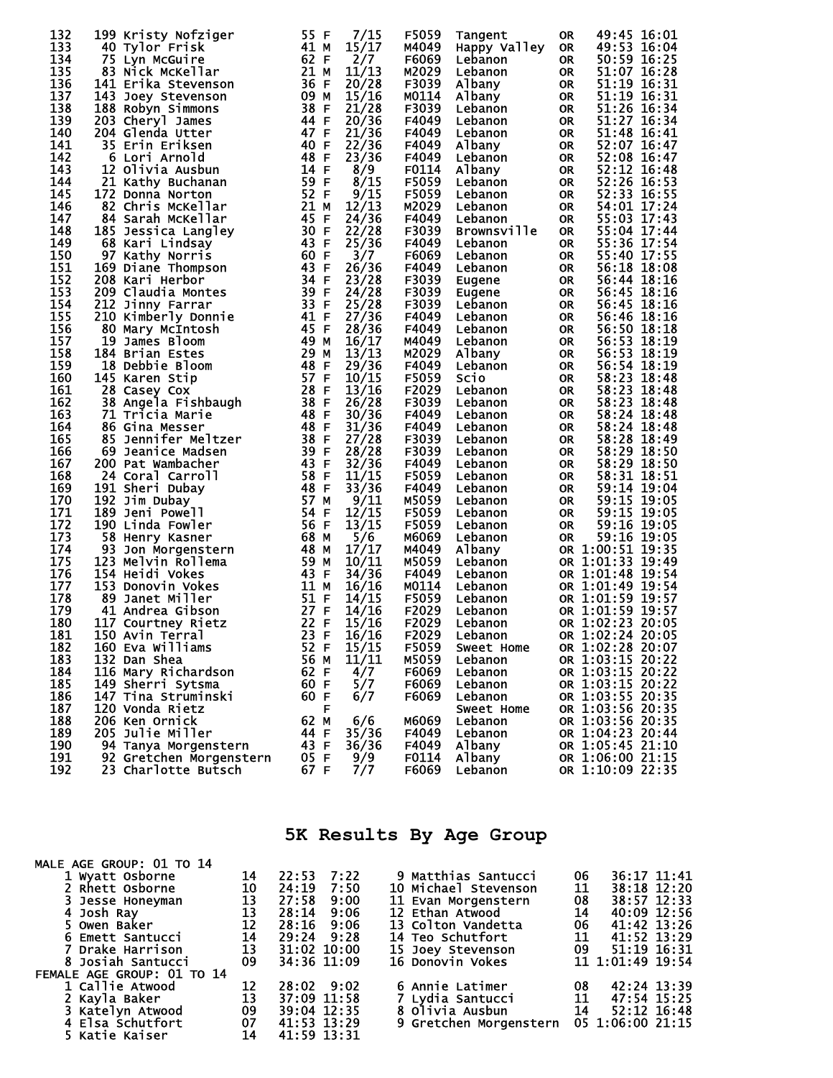| 133<br>41 M<br>15/17<br>M4049<br>Happy Valley<br>49:53 16:04<br>40 Tylor Frisk<br><b>OR</b><br>62 F<br>134<br>2/7<br>F6069<br>50:59 16:25<br>75 Lyn McGuire<br><b>OR</b><br>Lebanon<br>135<br>21 M<br>11/13<br>M2029<br>51:07 16:28<br>83 Nick McKellar<br><b>OR</b><br>Lebanon<br>136<br>36<br>20/28<br>51:19 16:31<br>F3039<br>141 Erika Stevenson<br>-F<br>Albany<br><b>OR</b><br>51:19 16:31<br>137<br>09 M<br>15/16<br>M0114<br>143 Joey Stevenson<br>Albany<br><b>OR</b><br>138<br>38 F<br>21/28<br>51:26 16:34<br>F3039<br>188 Robyn Simmons<br><b>OR</b><br>Lebanon<br>139<br>44 F<br>51:27 16:34<br>20/36<br>F4049<br>203 Cheryl James<br><b>OR</b><br>Lebanon<br>140<br>47 F<br>51:48 16:41<br>21/36<br>204 Glenda Utter<br>F4049<br><b>OR</b><br>Lebanon<br>141<br>40<br>F<br>22/36<br>F4049<br>52:07 16:47<br>35 Erin Eriksen<br>Albany<br><b>OR</b><br>142<br>48<br>-F<br>23/36<br>F4049<br>52:08 16:47<br>6 Lori Arnold<br><b>OR</b><br>Lebanon<br>143<br>14 F<br>F0114<br>8/9<br>52:12 16:48<br>12 Olivia Ausbun<br>Albany<br><b>OR</b><br>59 F<br>8/15<br>144<br>21 Kathy Buchanan<br>F5059<br>52:26 16:53<br><b>OR</b><br>Lebanon<br>52 F<br>145<br>9/15<br>F5059<br>52:33 16:55<br>172 Donna Norton<br>Lebanon<br><b>OR</b><br>146<br>21<br>12/13<br>82 Chris McKellar<br>M2029<br>54:01 17:24<br><b>OR</b><br>м<br>Lebanon<br>147<br>45<br>24/36<br>F4049<br>55:03 17:43<br>84 Sarah McKellar<br>-F<br><b>OR</b><br>Lebanon<br>148<br>30 F<br>22/28<br>F3039<br>55:04 17:44<br>185 Jessica Langley<br><b>Brownsville</b><br><b>OR</b><br>149<br>43 F<br>55:36 17:54<br>25/36<br>F4049<br>68 Kari Lindsay<br><b>OR</b><br>Lebanon<br>150<br>60 F<br>3/7<br>55:40 17:55<br>97 Kathy Norris<br>F6069<br><b>OR</b><br>Lebanon<br>151<br>43 F<br>26/36<br>169 Diane Thompson<br>F4049<br>56:18 18:08<br><b>OR</b><br>Lebanon<br>152<br>34 F<br>23/28<br>F3039<br>208 Kari Herbor<br><b>OR</b><br>56:44 18:16<br>Eugene<br>153<br>39 F<br>209 Claudia Montes<br>24/28<br>F3039<br>56:45 18:16<br><b>OR</b><br>Eugene<br>154<br>33 F<br>25/28<br>212 Jinny Farrar<br>F3039<br>56:45 18:16<br><b>OR</b><br>Lebanon<br>155<br>41 F<br>27/36<br>F4049<br>210 Kimberly Donnie<br><b>OR</b><br>56:46 18:16<br>Lebanon<br>156<br>45<br>80 Mary McIntosh<br>F<br>28/36<br>56:50 18:18<br>F4049<br><b>OR</b><br>Lebanon<br>157<br>49<br>56:53 18:19<br>19 James Bloom<br>16/17<br>М<br>M4049<br><b>OR</b><br>Lebanon<br>158<br>29<br>13/13<br>M2029<br>56:53 18:19<br>184 Brian Estes<br>M<br>Albany<br><b>OR</b><br>159<br>48<br>18 Debbie Bloom<br>29/36<br>F4049<br>56:54 18:19<br>-F<br><b>OR</b><br>Lebanon<br>160<br>57 F<br>10/15<br>F5059<br>58:23 18:48<br>145 Karen Stip<br>Scio<br><b>OR</b><br>161<br>28<br>13/16<br>28 Casey Cox<br>E<br>F2029<br>58:23 18:48<br><b>OR</b><br>Lebanon<br>38<br>162<br>F<br>26/28<br>F3039<br>58:23 18:48<br>38 Angela Fishbaugh<br><b>OR</b><br>Lebanon<br>163<br>48 F<br>30/36<br>F4049<br>58:24 18:48<br>71 Tricia Marie<br><b>OR</b><br>Lebanon<br>164<br>48 F<br>31/36<br>58:24 18:48<br>86 Gina Messer<br>F4049<br><b>OR</b><br>Lebanon<br>165<br>38 F<br>27/28<br>F3039<br>58:28 18:49<br>85 Jennifer Meltzer<br><b>OR</b><br>Lebanon<br>39 F<br>166<br>28/28<br>F3039<br>58:29 18:50<br>69 Jeanice Madsen<br><b>OR</b><br>Lebanon<br>43 F<br>167<br>32/36<br>F4049<br>58:29 18:50<br>200 Pat Wambacher<br><b>OR</b><br>Lebanon<br>58 F<br>168<br>11/15<br>F5059<br>58:31 18:51<br>24 Coral Carroll<br><b>OR</b><br>Lebanon<br>169<br>48<br>191 Sheri Dubay<br>-F<br>33/36<br>F4049<br>59:14 19:04<br><b>OR</b><br>Lebanon<br>170<br>57<br>59:15 19:05<br>192 Jim Dubay<br>9/11<br>M5059<br>M<br><b>OR</b><br>Lebanon<br>171<br>54 F<br>59:15 19:05<br>189 Jeni Powell<br>12/15<br>F5059<br><b>OR</b><br>Lebanon<br>172<br>56<br>-F<br>13/15<br>F5059<br>59:16 19:05<br>190 Linda Fowler<br><b>OR</b><br>Lebanon<br>173<br>5/6<br>59:16 19:05<br>58 Henry Kasner<br>68 M<br>M6069<br><b>OR</b><br>Lebanon<br>174<br>48<br>17/17<br>OR 1:00:51 19:35<br>93<br>м<br>M4049<br>Albany<br>Jon Morgenstern<br>175<br>59<br>10/11<br>123 Melvin Rollema<br>M5059<br>OR 1:01:33 19:49<br>м<br>Lebanon<br>43<br>176<br>154 Heidi Vokes<br>34/36<br>F4049<br>OR 1:01:48 19:54<br>-F<br>Lebanon<br>177<br>11<br>M0114<br>OR 1:01:49 19:54<br>153 Donovin Vokes<br>16/16<br>M<br>Lebanon<br>51<br>178<br>14/15<br>F5059<br>OR 1:01:59 19:57<br>89 Janet Miller<br>-F<br>Lebanon<br>179<br>27 F<br>OR 1:01:59 19:57<br>41 Andrea Gibson<br>14/16<br>F2029<br>Lebanon<br>22<br>180<br>117 Courtney Rietz<br>-F<br>15/16<br>F2029<br>OR 1:02:23<br>Lebanon<br>20:05<br>$\sim$ 23<br>OR 1:02:24 20:05<br>181<br>150 Avin Terral<br>F.<br>16/16<br>F2029<br>Lebanon<br>182<br>160 Eva Williams<br>15/15<br>F5059<br>52 F<br>OR 1:02:28 20:07<br>Sweet Home<br>183<br>132 Dan Shea<br>56 M<br>11/11<br>OR 1:03:15 20:22<br>M5059<br>Lebanon<br>184<br>116 Mary Richardson<br>62 F<br>4/7<br>OR 1:03:15 20:22<br>F6069<br>Lebanon<br>185<br>60 F<br>5/7<br>OR 1:03:15 20:22<br>149 Sherri Sytsma<br>F6069<br>Lebanon<br>186<br>OR 1:03:55 20:35<br>147 Tina Struminski<br>60 F<br>6/7<br>F6069<br>Lebanon<br>OR 1:03:56 20:35<br>187<br>120 Vonda Rietz<br>F<br>Sweet Home<br>188<br>62 M<br>6/6<br>M6069<br>OR 1:03:56 20:35<br>206 Ken Ornick<br>Lebanon<br>189<br>35/36<br>OR 1:04:23 20:44<br><b>205 Julie Miller</b><br>44 F<br>F4049<br>Lebanon<br>190<br>43 F<br>OR 1:05:45 21:10<br>94 Tanya Morgenstern<br>36/36<br>F4049<br>Albany<br>191<br>9/9<br>F0114<br>OR 1:06:00 21:15<br>92 Gretchen Morgenstern<br>05 F<br>Albany<br>192<br>23 Charlotte Butsch<br>67 F<br>OR 1:10:09 22:35<br>F6069<br>Lebanon | 132 | 199 Kristy Nofziger | 55 F | 7/15 | F5059 | Tangent | <b>OR</b> | 49:45 16:01 |
|--------------------------------------------------------------------------------------------------------------------------------------------------------------------------------------------------------------------------------------------------------------------------------------------------------------------------------------------------------------------------------------------------------------------------------------------------------------------------------------------------------------------------------------------------------------------------------------------------------------------------------------------------------------------------------------------------------------------------------------------------------------------------------------------------------------------------------------------------------------------------------------------------------------------------------------------------------------------------------------------------------------------------------------------------------------------------------------------------------------------------------------------------------------------------------------------------------------------------------------------------------------------------------------------------------------------------------------------------------------------------------------------------------------------------------------------------------------------------------------------------------------------------------------------------------------------------------------------------------------------------------------------------------------------------------------------------------------------------------------------------------------------------------------------------------------------------------------------------------------------------------------------------------------------------------------------------------------------------------------------------------------------------------------------------------------------------------------------------------------------------------------------------------------------------------------------------------------------------------------------------------------------------------------------------------------------------------------------------------------------------------------------------------------------------------------------------------------------------------------------------------------------------------------------------------------------------------------------------------------------------------------------------------------------------------------------------------------------------------------------------------------------------------------------------------------------------------------------------------------------------------------------------------------------------------------------------------------------------------------------------------------------------------------------------------------------------------------------------------------------------------------------------------------------------------------------------------------------------------------------------------------------------------------------------------------------------------------------------------------------------------------------------------------------------------------------------------------------------------------------------------------------------------------------------------------------------------------------------------------------------------------------------------------------------------------------------------------------------------------------------------------------------------------------------------------------------------------------------------------------------------------------------------------------------------------------------------------------------------------------------------------------------------------------------------------------------------------------------------------------------------------------------------------------------------------------------------------------------------------------------------------------------------------------------------------------------------------------------------------------------------------------------------------------------------------------------------------------------------------------------------------------------------------------------------------------------------------------------------------------------------------------------------------------------------------------------------------------------------------------------------------------------------------------------------------------------------------------------------------------------------------------------------------------------------------------------------------------------------------------------------------------------------------------------------------------------------------------------------------------------------------------------------------------------------------------------------------------------------------------------------------------------------------------------------------------------------------------------------------------------------------------------------------------------------------------------------------------------------------------------------------------------------------------------------------------------------------------------------------------------------------------------------|-----|---------------------|------|------|-------|---------|-----------|-------------|
|                                                                                                                                                                                                                                                                                                                                                                                                                                                                                                                                                                                                                                                                                                                                                                                                                                                                                                                                                                                                                                                                                                                                                                                                                                                                                                                                                                                                                                                                                                                                                                                                                                                                                                                                                                                                                                                                                                                                                                                                                                                                                                                                                                                                                                                                                                                                                                                                                                                                                                                                                                                                                                                                                                                                                                                                                                                                                                                                                                                                                                                                                                                                                                                                                                                                                                                                                                                                                                                                                                                                                                                                                                                                                                                                                                                                                                                                                                                                                                                                                                                                                                                                                                                                                                                                                                                                                                                                                                                                                                                                                                                                                                                                                                                                                                                                                                                                                                                                                                                                                                                                                                                                                                                                                                                                                                                                                                                                                                                                                                                                                                                                                                                        |     |                     |      |      |       |         |           |             |
|                                                                                                                                                                                                                                                                                                                                                                                                                                                                                                                                                                                                                                                                                                                                                                                                                                                                                                                                                                                                                                                                                                                                                                                                                                                                                                                                                                                                                                                                                                                                                                                                                                                                                                                                                                                                                                                                                                                                                                                                                                                                                                                                                                                                                                                                                                                                                                                                                                                                                                                                                                                                                                                                                                                                                                                                                                                                                                                                                                                                                                                                                                                                                                                                                                                                                                                                                                                                                                                                                                                                                                                                                                                                                                                                                                                                                                                                                                                                                                                                                                                                                                                                                                                                                                                                                                                                                                                                                                                                                                                                                                                                                                                                                                                                                                                                                                                                                                                                                                                                                                                                                                                                                                                                                                                                                                                                                                                                                                                                                                                                                                                                                                                        |     |                     |      |      |       |         |           |             |
|                                                                                                                                                                                                                                                                                                                                                                                                                                                                                                                                                                                                                                                                                                                                                                                                                                                                                                                                                                                                                                                                                                                                                                                                                                                                                                                                                                                                                                                                                                                                                                                                                                                                                                                                                                                                                                                                                                                                                                                                                                                                                                                                                                                                                                                                                                                                                                                                                                                                                                                                                                                                                                                                                                                                                                                                                                                                                                                                                                                                                                                                                                                                                                                                                                                                                                                                                                                                                                                                                                                                                                                                                                                                                                                                                                                                                                                                                                                                                                                                                                                                                                                                                                                                                                                                                                                                                                                                                                                                                                                                                                                                                                                                                                                                                                                                                                                                                                                                                                                                                                                                                                                                                                                                                                                                                                                                                                                                                                                                                                                                                                                                                                                        |     |                     |      |      |       |         |           |             |
|                                                                                                                                                                                                                                                                                                                                                                                                                                                                                                                                                                                                                                                                                                                                                                                                                                                                                                                                                                                                                                                                                                                                                                                                                                                                                                                                                                                                                                                                                                                                                                                                                                                                                                                                                                                                                                                                                                                                                                                                                                                                                                                                                                                                                                                                                                                                                                                                                                                                                                                                                                                                                                                                                                                                                                                                                                                                                                                                                                                                                                                                                                                                                                                                                                                                                                                                                                                                                                                                                                                                                                                                                                                                                                                                                                                                                                                                                                                                                                                                                                                                                                                                                                                                                                                                                                                                                                                                                                                                                                                                                                                                                                                                                                                                                                                                                                                                                                                                                                                                                                                                                                                                                                                                                                                                                                                                                                                                                                                                                                                                                                                                                                                        |     |                     |      |      |       |         |           |             |
|                                                                                                                                                                                                                                                                                                                                                                                                                                                                                                                                                                                                                                                                                                                                                                                                                                                                                                                                                                                                                                                                                                                                                                                                                                                                                                                                                                                                                                                                                                                                                                                                                                                                                                                                                                                                                                                                                                                                                                                                                                                                                                                                                                                                                                                                                                                                                                                                                                                                                                                                                                                                                                                                                                                                                                                                                                                                                                                                                                                                                                                                                                                                                                                                                                                                                                                                                                                                                                                                                                                                                                                                                                                                                                                                                                                                                                                                                                                                                                                                                                                                                                                                                                                                                                                                                                                                                                                                                                                                                                                                                                                                                                                                                                                                                                                                                                                                                                                                                                                                                                                                                                                                                                                                                                                                                                                                                                                                                                                                                                                                                                                                                                                        |     |                     |      |      |       |         |           |             |
|                                                                                                                                                                                                                                                                                                                                                                                                                                                                                                                                                                                                                                                                                                                                                                                                                                                                                                                                                                                                                                                                                                                                                                                                                                                                                                                                                                                                                                                                                                                                                                                                                                                                                                                                                                                                                                                                                                                                                                                                                                                                                                                                                                                                                                                                                                                                                                                                                                                                                                                                                                                                                                                                                                                                                                                                                                                                                                                                                                                                                                                                                                                                                                                                                                                                                                                                                                                                                                                                                                                                                                                                                                                                                                                                                                                                                                                                                                                                                                                                                                                                                                                                                                                                                                                                                                                                                                                                                                                                                                                                                                                                                                                                                                                                                                                                                                                                                                                                                                                                                                                                                                                                                                                                                                                                                                                                                                                                                                                                                                                                                                                                                                                        |     |                     |      |      |       |         |           |             |
|                                                                                                                                                                                                                                                                                                                                                                                                                                                                                                                                                                                                                                                                                                                                                                                                                                                                                                                                                                                                                                                                                                                                                                                                                                                                                                                                                                                                                                                                                                                                                                                                                                                                                                                                                                                                                                                                                                                                                                                                                                                                                                                                                                                                                                                                                                                                                                                                                                                                                                                                                                                                                                                                                                                                                                                                                                                                                                                                                                                                                                                                                                                                                                                                                                                                                                                                                                                                                                                                                                                                                                                                                                                                                                                                                                                                                                                                                                                                                                                                                                                                                                                                                                                                                                                                                                                                                                                                                                                                                                                                                                                                                                                                                                                                                                                                                                                                                                                                                                                                                                                                                                                                                                                                                                                                                                                                                                                                                                                                                                                                                                                                                                                        |     |                     |      |      |       |         |           |             |
|                                                                                                                                                                                                                                                                                                                                                                                                                                                                                                                                                                                                                                                                                                                                                                                                                                                                                                                                                                                                                                                                                                                                                                                                                                                                                                                                                                                                                                                                                                                                                                                                                                                                                                                                                                                                                                                                                                                                                                                                                                                                                                                                                                                                                                                                                                                                                                                                                                                                                                                                                                                                                                                                                                                                                                                                                                                                                                                                                                                                                                                                                                                                                                                                                                                                                                                                                                                                                                                                                                                                                                                                                                                                                                                                                                                                                                                                                                                                                                                                                                                                                                                                                                                                                                                                                                                                                                                                                                                                                                                                                                                                                                                                                                                                                                                                                                                                                                                                                                                                                                                                                                                                                                                                                                                                                                                                                                                                                                                                                                                                                                                                                                                        |     |                     |      |      |       |         |           |             |
|                                                                                                                                                                                                                                                                                                                                                                                                                                                                                                                                                                                                                                                                                                                                                                                                                                                                                                                                                                                                                                                                                                                                                                                                                                                                                                                                                                                                                                                                                                                                                                                                                                                                                                                                                                                                                                                                                                                                                                                                                                                                                                                                                                                                                                                                                                                                                                                                                                                                                                                                                                                                                                                                                                                                                                                                                                                                                                                                                                                                                                                                                                                                                                                                                                                                                                                                                                                                                                                                                                                                                                                                                                                                                                                                                                                                                                                                                                                                                                                                                                                                                                                                                                                                                                                                                                                                                                                                                                                                                                                                                                                                                                                                                                                                                                                                                                                                                                                                                                                                                                                                                                                                                                                                                                                                                                                                                                                                                                                                                                                                                                                                                                                        |     |                     |      |      |       |         |           |             |
|                                                                                                                                                                                                                                                                                                                                                                                                                                                                                                                                                                                                                                                                                                                                                                                                                                                                                                                                                                                                                                                                                                                                                                                                                                                                                                                                                                                                                                                                                                                                                                                                                                                                                                                                                                                                                                                                                                                                                                                                                                                                                                                                                                                                                                                                                                                                                                                                                                                                                                                                                                                                                                                                                                                                                                                                                                                                                                                                                                                                                                                                                                                                                                                                                                                                                                                                                                                                                                                                                                                                                                                                                                                                                                                                                                                                                                                                                                                                                                                                                                                                                                                                                                                                                                                                                                                                                                                                                                                                                                                                                                                                                                                                                                                                                                                                                                                                                                                                                                                                                                                                                                                                                                                                                                                                                                                                                                                                                                                                                                                                                                                                                                                        |     |                     |      |      |       |         |           |             |
|                                                                                                                                                                                                                                                                                                                                                                                                                                                                                                                                                                                                                                                                                                                                                                                                                                                                                                                                                                                                                                                                                                                                                                                                                                                                                                                                                                                                                                                                                                                                                                                                                                                                                                                                                                                                                                                                                                                                                                                                                                                                                                                                                                                                                                                                                                                                                                                                                                                                                                                                                                                                                                                                                                                                                                                                                                                                                                                                                                                                                                                                                                                                                                                                                                                                                                                                                                                                                                                                                                                                                                                                                                                                                                                                                                                                                                                                                                                                                                                                                                                                                                                                                                                                                                                                                                                                                                                                                                                                                                                                                                                                                                                                                                                                                                                                                                                                                                                                                                                                                                                                                                                                                                                                                                                                                                                                                                                                                                                                                                                                                                                                                                                        |     |                     |      |      |       |         |           |             |
|                                                                                                                                                                                                                                                                                                                                                                                                                                                                                                                                                                                                                                                                                                                                                                                                                                                                                                                                                                                                                                                                                                                                                                                                                                                                                                                                                                                                                                                                                                                                                                                                                                                                                                                                                                                                                                                                                                                                                                                                                                                                                                                                                                                                                                                                                                                                                                                                                                                                                                                                                                                                                                                                                                                                                                                                                                                                                                                                                                                                                                                                                                                                                                                                                                                                                                                                                                                                                                                                                                                                                                                                                                                                                                                                                                                                                                                                                                                                                                                                                                                                                                                                                                                                                                                                                                                                                                                                                                                                                                                                                                                                                                                                                                                                                                                                                                                                                                                                                                                                                                                                                                                                                                                                                                                                                                                                                                                                                                                                                                                                                                                                                                                        |     |                     |      |      |       |         |           |             |
|                                                                                                                                                                                                                                                                                                                                                                                                                                                                                                                                                                                                                                                                                                                                                                                                                                                                                                                                                                                                                                                                                                                                                                                                                                                                                                                                                                                                                                                                                                                                                                                                                                                                                                                                                                                                                                                                                                                                                                                                                                                                                                                                                                                                                                                                                                                                                                                                                                                                                                                                                                                                                                                                                                                                                                                                                                                                                                                                                                                                                                                                                                                                                                                                                                                                                                                                                                                                                                                                                                                                                                                                                                                                                                                                                                                                                                                                                                                                                                                                                                                                                                                                                                                                                                                                                                                                                                                                                                                                                                                                                                                                                                                                                                                                                                                                                                                                                                                                                                                                                                                                                                                                                                                                                                                                                                                                                                                                                                                                                                                                                                                                                                                        |     |                     |      |      |       |         |           |             |
|                                                                                                                                                                                                                                                                                                                                                                                                                                                                                                                                                                                                                                                                                                                                                                                                                                                                                                                                                                                                                                                                                                                                                                                                                                                                                                                                                                                                                                                                                                                                                                                                                                                                                                                                                                                                                                                                                                                                                                                                                                                                                                                                                                                                                                                                                                                                                                                                                                                                                                                                                                                                                                                                                                                                                                                                                                                                                                                                                                                                                                                                                                                                                                                                                                                                                                                                                                                                                                                                                                                                                                                                                                                                                                                                                                                                                                                                                                                                                                                                                                                                                                                                                                                                                                                                                                                                                                                                                                                                                                                                                                                                                                                                                                                                                                                                                                                                                                                                                                                                                                                                                                                                                                                                                                                                                                                                                                                                                                                                                                                                                                                                                                                        |     |                     |      |      |       |         |           |             |
|                                                                                                                                                                                                                                                                                                                                                                                                                                                                                                                                                                                                                                                                                                                                                                                                                                                                                                                                                                                                                                                                                                                                                                                                                                                                                                                                                                                                                                                                                                                                                                                                                                                                                                                                                                                                                                                                                                                                                                                                                                                                                                                                                                                                                                                                                                                                                                                                                                                                                                                                                                                                                                                                                                                                                                                                                                                                                                                                                                                                                                                                                                                                                                                                                                                                                                                                                                                                                                                                                                                                                                                                                                                                                                                                                                                                                                                                                                                                                                                                                                                                                                                                                                                                                                                                                                                                                                                                                                                                                                                                                                                                                                                                                                                                                                                                                                                                                                                                                                                                                                                                                                                                                                                                                                                                                                                                                                                                                                                                                                                                                                                                                                                        |     |                     |      |      |       |         |           |             |
|                                                                                                                                                                                                                                                                                                                                                                                                                                                                                                                                                                                                                                                                                                                                                                                                                                                                                                                                                                                                                                                                                                                                                                                                                                                                                                                                                                                                                                                                                                                                                                                                                                                                                                                                                                                                                                                                                                                                                                                                                                                                                                                                                                                                                                                                                                                                                                                                                                                                                                                                                                                                                                                                                                                                                                                                                                                                                                                                                                                                                                                                                                                                                                                                                                                                                                                                                                                                                                                                                                                                                                                                                                                                                                                                                                                                                                                                                                                                                                                                                                                                                                                                                                                                                                                                                                                                                                                                                                                                                                                                                                                                                                                                                                                                                                                                                                                                                                                                                                                                                                                                                                                                                                                                                                                                                                                                                                                                                                                                                                                                                                                                                                                        |     |                     |      |      |       |         |           |             |
|                                                                                                                                                                                                                                                                                                                                                                                                                                                                                                                                                                                                                                                                                                                                                                                                                                                                                                                                                                                                                                                                                                                                                                                                                                                                                                                                                                                                                                                                                                                                                                                                                                                                                                                                                                                                                                                                                                                                                                                                                                                                                                                                                                                                                                                                                                                                                                                                                                                                                                                                                                                                                                                                                                                                                                                                                                                                                                                                                                                                                                                                                                                                                                                                                                                                                                                                                                                                                                                                                                                                                                                                                                                                                                                                                                                                                                                                                                                                                                                                                                                                                                                                                                                                                                                                                                                                                                                                                                                                                                                                                                                                                                                                                                                                                                                                                                                                                                                                                                                                                                                                                                                                                                                                                                                                                                                                                                                                                                                                                                                                                                                                                                                        |     |                     |      |      |       |         |           |             |
|                                                                                                                                                                                                                                                                                                                                                                                                                                                                                                                                                                                                                                                                                                                                                                                                                                                                                                                                                                                                                                                                                                                                                                                                                                                                                                                                                                                                                                                                                                                                                                                                                                                                                                                                                                                                                                                                                                                                                                                                                                                                                                                                                                                                                                                                                                                                                                                                                                                                                                                                                                                                                                                                                                                                                                                                                                                                                                                                                                                                                                                                                                                                                                                                                                                                                                                                                                                                                                                                                                                                                                                                                                                                                                                                                                                                                                                                                                                                                                                                                                                                                                                                                                                                                                                                                                                                                                                                                                                                                                                                                                                                                                                                                                                                                                                                                                                                                                                                                                                                                                                                                                                                                                                                                                                                                                                                                                                                                                                                                                                                                                                                                                                        |     |                     |      |      |       |         |           |             |
|                                                                                                                                                                                                                                                                                                                                                                                                                                                                                                                                                                                                                                                                                                                                                                                                                                                                                                                                                                                                                                                                                                                                                                                                                                                                                                                                                                                                                                                                                                                                                                                                                                                                                                                                                                                                                                                                                                                                                                                                                                                                                                                                                                                                                                                                                                                                                                                                                                                                                                                                                                                                                                                                                                                                                                                                                                                                                                                                                                                                                                                                                                                                                                                                                                                                                                                                                                                                                                                                                                                                                                                                                                                                                                                                                                                                                                                                                                                                                                                                                                                                                                                                                                                                                                                                                                                                                                                                                                                                                                                                                                                                                                                                                                                                                                                                                                                                                                                                                                                                                                                                                                                                                                                                                                                                                                                                                                                                                                                                                                                                                                                                                                                        |     |                     |      |      |       |         |           |             |
|                                                                                                                                                                                                                                                                                                                                                                                                                                                                                                                                                                                                                                                                                                                                                                                                                                                                                                                                                                                                                                                                                                                                                                                                                                                                                                                                                                                                                                                                                                                                                                                                                                                                                                                                                                                                                                                                                                                                                                                                                                                                                                                                                                                                                                                                                                                                                                                                                                                                                                                                                                                                                                                                                                                                                                                                                                                                                                                                                                                                                                                                                                                                                                                                                                                                                                                                                                                                                                                                                                                                                                                                                                                                                                                                                                                                                                                                                                                                                                                                                                                                                                                                                                                                                                                                                                                                                                                                                                                                                                                                                                                                                                                                                                                                                                                                                                                                                                                                                                                                                                                                                                                                                                                                                                                                                                                                                                                                                                                                                                                                                                                                                                                        |     |                     |      |      |       |         |           |             |
|                                                                                                                                                                                                                                                                                                                                                                                                                                                                                                                                                                                                                                                                                                                                                                                                                                                                                                                                                                                                                                                                                                                                                                                                                                                                                                                                                                                                                                                                                                                                                                                                                                                                                                                                                                                                                                                                                                                                                                                                                                                                                                                                                                                                                                                                                                                                                                                                                                                                                                                                                                                                                                                                                                                                                                                                                                                                                                                                                                                                                                                                                                                                                                                                                                                                                                                                                                                                                                                                                                                                                                                                                                                                                                                                                                                                                                                                                                                                                                                                                                                                                                                                                                                                                                                                                                                                                                                                                                                                                                                                                                                                                                                                                                                                                                                                                                                                                                                                                                                                                                                                                                                                                                                                                                                                                                                                                                                                                                                                                                                                                                                                                                                        |     |                     |      |      |       |         |           |             |
|                                                                                                                                                                                                                                                                                                                                                                                                                                                                                                                                                                                                                                                                                                                                                                                                                                                                                                                                                                                                                                                                                                                                                                                                                                                                                                                                                                                                                                                                                                                                                                                                                                                                                                                                                                                                                                                                                                                                                                                                                                                                                                                                                                                                                                                                                                                                                                                                                                                                                                                                                                                                                                                                                                                                                                                                                                                                                                                                                                                                                                                                                                                                                                                                                                                                                                                                                                                                                                                                                                                                                                                                                                                                                                                                                                                                                                                                                                                                                                                                                                                                                                                                                                                                                                                                                                                                                                                                                                                                                                                                                                                                                                                                                                                                                                                                                                                                                                                                                                                                                                                                                                                                                                                                                                                                                                                                                                                                                                                                                                                                                                                                                                                        |     |                     |      |      |       |         |           |             |
|                                                                                                                                                                                                                                                                                                                                                                                                                                                                                                                                                                                                                                                                                                                                                                                                                                                                                                                                                                                                                                                                                                                                                                                                                                                                                                                                                                                                                                                                                                                                                                                                                                                                                                                                                                                                                                                                                                                                                                                                                                                                                                                                                                                                                                                                                                                                                                                                                                                                                                                                                                                                                                                                                                                                                                                                                                                                                                                                                                                                                                                                                                                                                                                                                                                                                                                                                                                                                                                                                                                                                                                                                                                                                                                                                                                                                                                                                                                                                                                                                                                                                                                                                                                                                                                                                                                                                                                                                                                                                                                                                                                                                                                                                                                                                                                                                                                                                                                                                                                                                                                                                                                                                                                                                                                                                                                                                                                                                                                                                                                                                                                                                                                        |     |                     |      |      |       |         |           |             |
|                                                                                                                                                                                                                                                                                                                                                                                                                                                                                                                                                                                                                                                                                                                                                                                                                                                                                                                                                                                                                                                                                                                                                                                                                                                                                                                                                                                                                                                                                                                                                                                                                                                                                                                                                                                                                                                                                                                                                                                                                                                                                                                                                                                                                                                                                                                                                                                                                                                                                                                                                                                                                                                                                                                                                                                                                                                                                                                                                                                                                                                                                                                                                                                                                                                                                                                                                                                                                                                                                                                                                                                                                                                                                                                                                                                                                                                                                                                                                                                                                                                                                                                                                                                                                                                                                                                                                                                                                                                                                                                                                                                                                                                                                                                                                                                                                                                                                                                                                                                                                                                                                                                                                                                                                                                                                                                                                                                                                                                                                                                                                                                                                                                        |     |                     |      |      |       |         |           |             |
|                                                                                                                                                                                                                                                                                                                                                                                                                                                                                                                                                                                                                                                                                                                                                                                                                                                                                                                                                                                                                                                                                                                                                                                                                                                                                                                                                                                                                                                                                                                                                                                                                                                                                                                                                                                                                                                                                                                                                                                                                                                                                                                                                                                                                                                                                                                                                                                                                                                                                                                                                                                                                                                                                                                                                                                                                                                                                                                                                                                                                                                                                                                                                                                                                                                                                                                                                                                                                                                                                                                                                                                                                                                                                                                                                                                                                                                                                                                                                                                                                                                                                                                                                                                                                                                                                                                                                                                                                                                                                                                                                                                                                                                                                                                                                                                                                                                                                                                                                                                                                                                                                                                                                                                                                                                                                                                                                                                                                                                                                                                                                                                                                                                        |     |                     |      |      |       |         |           |             |
|                                                                                                                                                                                                                                                                                                                                                                                                                                                                                                                                                                                                                                                                                                                                                                                                                                                                                                                                                                                                                                                                                                                                                                                                                                                                                                                                                                                                                                                                                                                                                                                                                                                                                                                                                                                                                                                                                                                                                                                                                                                                                                                                                                                                                                                                                                                                                                                                                                                                                                                                                                                                                                                                                                                                                                                                                                                                                                                                                                                                                                                                                                                                                                                                                                                                                                                                                                                                                                                                                                                                                                                                                                                                                                                                                                                                                                                                                                                                                                                                                                                                                                                                                                                                                                                                                                                                                                                                                                                                                                                                                                                                                                                                                                                                                                                                                                                                                                                                                                                                                                                                                                                                                                                                                                                                                                                                                                                                                                                                                                                                                                                                                                                        |     |                     |      |      |       |         |           |             |
|                                                                                                                                                                                                                                                                                                                                                                                                                                                                                                                                                                                                                                                                                                                                                                                                                                                                                                                                                                                                                                                                                                                                                                                                                                                                                                                                                                                                                                                                                                                                                                                                                                                                                                                                                                                                                                                                                                                                                                                                                                                                                                                                                                                                                                                                                                                                                                                                                                                                                                                                                                                                                                                                                                                                                                                                                                                                                                                                                                                                                                                                                                                                                                                                                                                                                                                                                                                                                                                                                                                                                                                                                                                                                                                                                                                                                                                                                                                                                                                                                                                                                                                                                                                                                                                                                                                                                                                                                                                                                                                                                                                                                                                                                                                                                                                                                                                                                                                                                                                                                                                                                                                                                                                                                                                                                                                                                                                                                                                                                                                                                                                                                                                        |     |                     |      |      |       |         |           |             |
|                                                                                                                                                                                                                                                                                                                                                                                                                                                                                                                                                                                                                                                                                                                                                                                                                                                                                                                                                                                                                                                                                                                                                                                                                                                                                                                                                                                                                                                                                                                                                                                                                                                                                                                                                                                                                                                                                                                                                                                                                                                                                                                                                                                                                                                                                                                                                                                                                                                                                                                                                                                                                                                                                                                                                                                                                                                                                                                                                                                                                                                                                                                                                                                                                                                                                                                                                                                                                                                                                                                                                                                                                                                                                                                                                                                                                                                                                                                                                                                                                                                                                                                                                                                                                                                                                                                                                                                                                                                                                                                                                                                                                                                                                                                                                                                                                                                                                                                                                                                                                                                                                                                                                                                                                                                                                                                                                                                                                                                                                                                                                                                                                                                        |     |                     |      |      |       |         |           |             |
|                                                                                                                                                                                                                                                                                                                                                                                                                                                                                                                                                                                                                                                                                                                                                                                                                                                                                                                                                                                                                                                                                                                                                                                                                                                                                                                                                                                                                                                                                                                                                                                                                                                                                                                                                                                                                                                                                                                                                                                                                                                                                                                                                                                                                                                                                                                                                                                                                                                                                                                                                                                                                                                                                                                                                                                                                                                                                                                                                                                                                                                                                                                                                                                                                                                                                                                                                                                                                                                                                                                                                                                                                                                                                                                                                                                                                                                                                                                                                                                                                                                                                                                                                                                                                                                                                                                                                                                                                                                                                                                                                                                                                                                                                                                                                                                                                                                                                                                                                                                                                                                                                                                                                                                                                                                                                                                                                                                                                                                                                                                                                                                                                                                        |     |                     |      |      |       |         |           |             |
|                                                                                                                                                                                                                                                                                                                                                                                                                                                                                                                                                                                                                                                                                                                                                                                                                                                                                                                                                                                                                                                                                                                                                                                                                                                                                                                                                                                                                                                                                                                                                                                                                                                                                                                                                                                                                                                                                                                                                                                                                                                                                                                                                                                                                                                                                                                                                                                                                                                                                                                                                                                                                                                                                                                                                                                                                                                                                                                                                                                                                                                                                                                                                                                                                                                                                                                                                                                                                                                                                                                                                                                                                                                                                                                                                                                                                                                                                                                                                                                                                                                                                                                                                                                                                                                                                                                                                                                                                                                                                                                                                                                                                                                                                                                                                                                                                                                                                                                                                                                                                                                                                                                                                                                                                                                                                                                                                                                                                                                                                                                                                                                                                                                        |     |                     |      |      |       |         |           |             |
|                                                                                                                                                                                                                                                                                                                                                                                                                                                                                                                                                                                                                                                                                                                                                                                                                                                                                                                                                                                                                                                                                                                                                                                                                                                                                                                                                                                                                                                                                                                                                                                                                                                                                                                                                                                                                                                                                                                                                                                                                                                                                                                                                                                                                                                                                                                                                                                                                                                                                                                                                                                                                                                                                                                                                                                                                                                                                                                                                                                                                                                                                                                                                                                                                                                                                                                                                                                                                                                                                                                                                                                                                                                                                                                                                                                                                                                                                                                                                                                                                                                                                                                                                                                                                                                                                                                                                                                                                                                                                                                                                                                                                                                                                                                                                                                                                                                                                                                                                                                                                                                                                                                                                                                                                                                                                                                                                                                                                                                                                                                                                                                                                                                        |     |                     |      |      |       |         |           |             |
|                                                                                                                                                                                                                                                                                                                                                                                                                                                                                                                                                                                                                                                                                                                                                                                                                                                                                                                                                                                                                                                                                                                                                                                                                                                                                                                                                                                                                                                                                                                                                                                                                                                                                                                                                                                                                                                                                                                                                                                                                                                                                                                                                                                                                                                                                                                                                                                                                                                                                                                                                                                                                                                                                                                                                                                                                                                                                                                                                                                                                                                                                                                                                                                                                                                                                                                                                                                                                                                                                                                                                                                                                                                                                                                                                                                                                                                                                                                                                                                                                                                                                                                                                                                                                                                                                                                                                                                                                                                                                                                                                                                                                                                                                                                                                                                                                                                                                                                                                                                                                                                                                                                                                                                                                                                                                                                                                                                                                                                                                                                                                                                                                                                        |     |                     |      |      |       |         |           |             |
|                                                                                                                                                                                                                                                                                                                                                                                                                                                                                                                                                                                                                                                                                                                                                                                                                                                                                                                                                                                                                                                                                                                                                                                                                                                                                                                                                                                                                                                                                                                                                                                                                                                                                                                                                                                                                                                                                                                                                                                                                                                                                                                                                                                                                                                                                                                                                                                                                                                                                                                                                                                                                                                                                                                                                                                                                                                                                                                                                                                                                                                                                                                                                                                                                                                                                                                                                                                                                                                                                                                                                                                                                                                                                                                                                                                                                                                                                                                                                                                                                                                                                                                                                                                                                                                                                                                                                                                                                                                                                                                                                                                                                                                                                                                                                                                                                                                                                                                                                                                                                                                                                                                                                                                                                                                                                                                                                                                                                                                                                                                                                                                                                                                        |     |                     |      |      |       |         |           |             |
|                                                                                                                                                                                                                                                                                                                                                                                                                                                                                                                                                                                                                                                                                                                                                                                                                                                                                                                                                                                                                                                                                                                                                                                                                                                                                                                                                                                                                                                                                                                                                                                                                                                                                                                                                                                                                                                                                                                                                                                                                                                                                                                                                                                                                                                                                                                                                                                                                                                                                                                                                                                                                                                                                                                                                                                                                                                                                                                                                                                                                                                                                                                                                                                                                                                                                                                                                                                                                                                                                                                                                                                                                                                                                                                                                                                                                                                                                                                                                                                                                                                                                                                                                                                                                                                                                                                                                                                                                                                                                                                                                                                                                                                                                                                                                                                                                                                                                                                                                                                                                                                                                                                                                                                                                                                                                                                                                                                                                                                                                                                                                                                                                                                        |     |                     |      |      |       |         |           |             |
|                                                                                                                                                                                                                                                                                                                                                                                                                                                                                                                                                                                                                                                                                                                                                                                                                                                                                                                                                                                                                                                                                                                                                                                                                                                                                                                                                                                                                                                                                                                                                                                                                                                                                                                                                                                                                                                                                                                                                                                                                                                                                                                                                                                                                                                                                                                                                                                                                                                                                                                                                                                                                                                                                                                                                                                                                                                                                                                                                                                                                                                                                                                                                                                                                                                                                                                                                                                                                                                                                                                                                                                                                                                                                                                                                                                                                                                                                                                                                                                                                                                                                                                                                                                                                                                                                                                                                                                                                                                                                                                                                                                                                                                                                                                                                                                                                                                                                                                                                                                                                                                                                                                                                                                                                                                                                                                                                                                                                                                                                                                                                                                                                                                        |     |                     |      |      |       |         |           |             |
|                                                                                                                                                                                                                                                                                                                                                                                                                                                                                                                                                                                                                                                                                                                                                                                                                                                                                                                                                                                                                                                                                                                                                                                                                                                                                                                                                                                                                                                                                                                                                                                                                                                                                                                                                                                                                                                                                                                                                                                                                                                                                                                                                                                                                                                                                                                                                                                                                                                                                                                                                                                                                                                                                                                                                                                                                                                                                                                                                                                                                                                                                                                                                                                                                                                                                                                                                                                                                                                                                                                                                                                                                                                                                                                                                                                                                                                                                                                                                                                                                                                                                                                                                                                                                                                                                                                                                                                                                                                                                                                                                                                                                                                                                                                                                                                                                                                                                                                                                                                                                                                                                                                                                                                                                                                                                                                                                                                                                                                                                                                                                                                                                                                        |     |                     |      |      |       |         |           |             |
|                                                                                                                                                                                                                                                                                                                                                                                                                                                                                                                                                                                                                                                                                                                                                                                                                                                                                                                                                                                                                                                                                                                                                                                                                                                                                                                                                                                                                                                                                                                                                                                                                                                                                                                                                                                                                                                                                                                                                                                                                                                                                                                                                                                                                                                                                                                                                                                                                                                                                                                                                                                                                                                                                                                                                                                                                                                                                                                                                                                                                                                                                                                                                                                                                                                                                                                                                                                                                                                                                                                                                                                                                                                                                                                                                                                                                                                                                                                                                                                                                                                                                                                                                                                                                                                                                                                                                                                                                                                                                                                                                                                                                                                                                                                                                                                                                                                                                                                                                                                                                                                                                                                                                                                                                                                                                                                                                                                                                                                                                                                                                                                                                                                        |     |                     |      |      |       |         |           |             |
|                                                                                                                                                                                                                                                                                                                                                                                                                                                                                                                                                                                                                                                                                                                                                                                                                                                                                                                                                                                                                                                                                                                                                                                                                                                                                                                                                                                                                                                                                                                                                                                                                                                                                                                                                                                                                                                                                                                                                                                                                                                                                                                                                                                                                                                                                                                                                                                                                                                                                                                                                                                                                                                                                                                                                                                                                                                                                                                                                                                                                                                                                                                                                                                                                                                                                                                                                                                                                                                                                                                                                                                                                                                                                                                                                                                                                                                                                                                                                                                                                                                                                                                                                                                                                                                                                                                                                                                                                                                                                                                                                                                                                                                                                                                                                                                                                                                                                                                                                                                                                                                                                                                                                                                                                                                                                                                                                                                                                                                                                                                                                                                                                                                        |     |                     |      |      |       |         |           |             |
|                                                                                                                                                                                                                                                                                                                                                                                                                                                                                                                                                                                                                                                                                                                                                                                                                                                                                                                                                                                                                                                                                                                                                                                                                                                                                                                                                                                                                                                                                                                                                                                                                                                                                                                                                                                                                                                                                                                                                                                                                                                                                                                                                                                                                                                                                                                                                                                                                                                                                                                                                                                                                                                                                                                                                                                                                                                                                                                                                                                                                                                                                                                                                                                                                                                                                                                                                                                                                                                                                                                                                                                                                                                                                                                                                                                                                                                                                                                                                                                                                                                                                                                                                                                                                                                                                                                                                                                                                                                                                                                                                                                                                                                                                                                                                                                                                                                                                                                                                                                                                                                                                                                                                                                                                                                                                                                                                                                                                                                                                                                                                                                                                                                        |     |                     |      |      |       |         |           |             |
|                                                                                                                                                                                                                                                                                                                                                                                                                                                                                                                                                                                                                                                                                                                                                                                                                                                                                                                                                                                                                                                                                                                                                                                                                                                                                                                                                                                                                                                                                                                                                                                                                                                                                                                                                                                                                                                                                                                                                                                                                                                                                                                                                                                                                                                                                                                                                                                                                                                                                                                                                                                                                                                                                                                                                                                                                                                                                                                                                                                                                                                                                                                                                                                                                                                                                                                                                                                                                                                                                                                                                                                                                                                                                                                                                                                                                                                                                                                                                                                                                                                                                                                                                                                                                                                                                                                                                                                                                                                                                                                                                                                                                                                                                                                                                                                                                                                                                                                                                                                                                                                                                                                                                                                                                                                                                                                                                                                                                                                                                                                                                                                                                                                        |     |                     |      |      |       |         |           |             |
|                                                                                                                                                                                                                                                                                                                                                                                                                                                                                                                                                                                                                                                                                                                                                                                                                                                                                                                                                                                                                                                                                                                                                                                                                                                                                                                                                                                                                                                                                                                                                                                                                                                                                                                                                                                                                                                                                                                                                                                                                                                                                                                                                                                                                                                                                                                                                                                                                                                                                                                                                                                                                                                                                                                                                                                                                                                                                                                                                                                                                                                                                                                                                                                                                                                                                                                                                                                                                                                                                                                                                                                                                                                                                                                                                                                                                                                                                                                                                                                                                                                                                                                                                                                                                                                                                                                                                                                                                                                                                                                                                                                                                                                                                                                                                                                                                                                                                                                                                                                                                                                                                                                                                                                                                                                                                                                                                                                                                                                                                                                                                                                                                                                        |     |                     |      |      |       |         |           |             |
|                                                                                                                                                                                                                                                                                                                                                                                                                                                                                                                                                                                                                                                                                                                                                                                                                                                                                                                                                                                                                                                                                                                                                                                                                                                                                                                                                                                                                                                                                                                                                                                                                                                                                                                                                                                                                                                                                                                                                                                                                                                                                                                                                                                                                                                                                                                                                                                                                                                                                                                                                                                                                                                                                                                                                                                                                                                                                                                                                                                                                                                                                                                                                                                                                                                                                                                                                                                                                                                                                                                                                                                                                                                                                                                                                                                                                                                                                                                                                                                                                                                                                                                                                                                                                                                                                                                                                                                                                                                                                                                                                                                                                                                                                                                                                                                                                                                                                                                                                                                                                                                                                                                                                                                                                                                                                                                                                                                                                                                                                                                                                                                                                                                        |     |                     |      |      |       |         |           |             |
|                                                                                                                                                                                                                                                                                                                                                                                                                                                                                                                                                                                                                                                                                                                                                                                                                                                                                                                                                                                                                                                                                                                                                                                                                                                                                                                                                                                                                                                                                                                                                                                                                                                                                                                                                                                                                                                                                                                                                                                                                                                                                                                                                                                                                                                                                                                                                                                                                                                                                                                                                                                                                                                                                                                                                                                                                                                                                                                                                                                                                                                                                                                                                                                                                                                                                                                                                                                                                                                                                                                                                                                                                                                                                                                                                                                                                                                                                                                                                                                                                                                                                                                                                                                                                                                                                                                                                                                                                                                                                                                                                                                                                                                                                                                                                                                                                                                                                                                                                                                                                                                                                                                                                                                                                                                                                                                                                                                                                                                                                                                                                                                                                                                        |     |                     |      |      |       |         |           |             |
|                                                                                                                                                                                                                                                                                                                                                                                                                                                                                                                                                                                                                                                                                                                                                                                                                                                                                                                                                                                                                                                                                                                                                                                                                                                                                                                                                                                                                                                                                                                                                                                                                                                                                                                                                                                                                                                                                                                                                                                                                                                                                                                                                                                                                                                                                                                                                                                                                                                                                                                                                                                                                                                                                                                                                                                                                                                                                                                                                                                                                                                                                                                                                                                                                                                                                                                                                                                                                                                                                                                                                                                                                                                                                                                                                                                                                                                                                                                                                                                                                                                                                                                                                                                                                                                                                                                                                                                                                                                                                                                                                                                                                                                                                                                                                                                                                                                                                                                                                                                                                                                                                                                                                                                                                                                                                                                                                                                                                                                                                                                                                                                                                                                        |     |                     |      |      |       |         |           |             |
|                                                                                                                                                                                                                                                                                                                                                                                                                                                                                                                                                                                                                                                                                                                                                                                                                                                                                                                                                                                                                                                                                                                                                                                                                                                                                                                                                                                                                                                                                                                                                                                                                                                                                                                                                                                                                                                                                                                                                                                                                                                                                                                                                                                                                                                                                                                                                                                                                                                                                                                                                                                                                                                                                                                                                                                                                                                                                                                                                                                                                                                                                                                                                                                                                                                                                                                                                                                                                                                                                                                                                                                                                                                                                                                                                                                                                                                                                                                                                                                                                                                                                                                                                                                                                                                                                                                                                                                                                                                                                                                                                                                                                                                                                                                                                                                                                                                                                                                                                                                                                                                                                                                                                                                                                                                                                                                                                                                                                                                                                                                                                                                                                                                        |     |                     |      |      |       |         |           |             |
|                                                                                                                                                                                                                                                                                                                                                                                                                                                                                                                                                                                                                                                                                                                                                                                                                                                                                                                                                                                                                                                                                                                                                                                                                                                                                                                                                                                                                                                                                                                                                                                                                                                                                                                                                                                                                                                                                                                                                                                                                                                                                                                                                                                                                                                                                                                                                                                                                                                                                                                                                                                                                                                                                                                                                                                                                                                                                                                                                                                                                                                                                                                                                                                                                                                                                                                                                                                                                                                                                                                                                                                                                                                                                                                                                                                                                                                                                                                                                                                                                                                                                                                                                                                                                                                                                                                                                                                                                                                                                                                                                                                                                                                                                                                                                                                                                                                                                                                                                                                                                                                                                                                                                                                                                                                                                                                                                                                                                                                                                                                                                                                                                                                        |     |                     |      |      |       |         |           |             |
|                                                                                                                                                                                                                                                                                                                                                                                                                                                                                                                                                                                                                                                                                                                                                                                                                                                                                                                                                                                                                                                                                                                                                                                                                                                                                                                                                                                                                                                                                                                                                                                                                                                                                                                                                                                                                                                                                                                                                                                                                                                                                                                                                                                                                                                                                                                                                                                                                                                                                                                                                                                                                                                                                                                                                                                                                                                                                                                                                                                                                                                                                                                                                                                                                                                                                                                                                                                                                                                                                                                                                                                                                                                                                                                                                                                                                                                                                                                                                                                                                                                                                                                                                                                                                                                                                                                                                                                                                                                                                                                                                                                                                                                                                                                                                                                                                                                                                                                                                                                                                                                                                                                                                                                                                                                                                                                                                                                                                                                                                                                                                                                                                                                        |     |                     |      |      |       |         |           |             |
|                                                                                                                                                                                                                                                                                                                                                                                                                                                                                                                                                                                                                                                                                                                                                                                                                                                                                                                                                                                                                                                                                                                                                                                                                                                                                                                                                                                                                                                                                                                                                                                                                                                                                                                                                                                                                                                                                                                                                                                                                                                                                                                                                                                                                                                                                                                                                                                                                                                                                                                                                                                                                                                                                                                                                                                                                                                                                                                                                                                                                                                                                                                                                                                                                                                                                                                                                                                                                                                                                                                                                                                                                                                                                                                                                                                                                                                                                                                                                                                                                                                                                                                                                                                                                                                                                                                                                                                                                                                                                                                                                                                                                                                                                                                                                                                                                                                                                                                                                                                                                                                                                                                                                                                                                                                                                                                                                                                                                                                                                                                                                                                                                                                        |     |                     |      |      |       |         |           |             |
|                                                                                                                                                                                                                                                                                                                                                                                                                                                                                                                                                                                                                                                                                                                                                                                                                                                                                                                                                                                                                                                                                                                                                                                                                                                                                                                                                                                                                                                                                                                                                                                                                                                                                                                                                                                                                                                                                                                                                                                                                                                                                                                                                                                                                                                                                                                                                                                                                                                                                                                                                                                                                                                                                                                                                                                                                                                                                                                                                                                                                                                                                                                                                                                                                                                                                                                                                                                                                                                                                                                                                                                                                                                                                                                                                                                                                                                                                                                                                                                                                                                                                                                                                                                                                                                                                                                                                                                                                                                                                                                                                                                                                                                                                                                                                                                                                                                                                                                                                                                                                                                                                                                                                                                                                                                                                                                                                                                                                                                                                                                                                                                                                                                        |     |                     |      |      |       |         |           |             |
|                                                                                                                                                                                                                                                                                                                                                                                                                                                                                                                                                                                                                                                                                                                                                                                                                                                                                                                                                                                                                                                                                                                                                                                                                                                                                                                                                                                                                                                                                                                                                                                                                                                                                                                                                                                                                                                                                                                                                                                                                                                                                                                                                                                                                                                                                                                                                                                                                                                                                                                                                                                                                                                                                                                                                                                                                                                                                                                                                                                                                                                                                                                                                                                                                                                                                                                                                                                                                                                                                                                                                                                                                                                                                                                                                                                                                                                                                                                                                                                                                                                                                                                                                                                                                                                                                                                                                                                                                                                                                                                                                                                                                                                                                                                                                                                                                                                                                                                                                                                                                                                                                                                                                                                                                                                                                                                                                                                                                                                                                                                                                                                                                                                        |     |                     |      |      |       |         |           |             |
|                                                                                                                                                                                                                                                                                                                                                                                                                                                                                                                                                                                                                                                                                                                                                                                                                                                                                                                                                                                                                                                                                                                                                                                                                                                                                                                                                                                                                                                                                                                                                                                                                                                                                                                                                                                                                                                                                                                                                                                                                                                                                                                                                                                                                                                                                                                                                                                                                                                                                                                                                                                                                                                                                                                                                                                                                                                                                                                                                                                                                                                                                                                                                                                                                                                                                                                                                                                                                                                                                                                                                                                                                                                                                                                                                                                                                                                                                                                                                                                                                                                                                                                                                                                                                                                                                                                                                                                                                                                                                                                                                                                                                                                                                                                                                                                                                                                                                                                                                                                                                                                                                                                                                                                                                                                                                                                                                                                                                                                                                                                                                                                                                                                        |     |                     |      |      |       |         |           |             |
|                                                                                                                                                                                                                                                                                                                                                                                                                                                                                                                                                                                                                                                                                                                                                                                                                                                                                                                                                                                                                                                                                                                                                                                                                                                                                                                                                                                                                                                                                                                                                                                                                                                                                                                                                                                                                                                                                                                                                                                                                                                                                                                                                                                                                                                                                                                                                                                                                                                                                                                                                                                                                                                                                                                                                                                                                                                                                                                                                                                                                                                                                                                                                                                                                                                                                                                                                                                                                                                                                                                                                                                                                                                                                                                                                                                                                                                                                                                                                                                                                                                                                                                                                                                                                                                                                                                                                                                                                                                                                                                                                                                                                                                                                                                                                                                                                                                                                                                                                                                                                                                                                                                                                                                                                                                                                                                                                                                                                                                                                                                                                                                                                                                        |     |                     |      |      |       |         |           |             |
|                                                                                                                                                                                                                                                                                                                                                                                                                                                                                                                                                                                                                                                                                                                                                                                                                                                                                                                                                                                                                                                                                                                                                                                                                                                                                                                                                                                                                                                                                                                                                                                                                                                                                                                                                                                                                                                                                                                                                                                                                                                                                                                                                                                                                                                                                                                                                                                                                                                                                                                                                                                                                                                                                                                                                                                                                                                                                                                                                                                                                                                                                                                                                                                                                                                                                                                                                                                                                                                                                                                                                                                                                                                                                                                                                                                                                                                                                                                                                                                                                                                                                                                                                                                                                                                                                                                                                                                                                                                                                                                                                                                                                                                                                                                                                                                                                                                                                                                                                                                                                                                                                                                                                                                                                                                                                                                                                                                                                                                                                                                                                                                                                                                        |     |                     |      |      |       |         |           |             |
|                                                                                                                                                                                                                                                                                                                                                                                                                                                                                                                                                                                                                                                                                                                                                                                                                                                                                                                                                                                                                                                                                                                                                                                                                                                                                                                                                                                                                                                                                                                                                                                                                                                                                                                                                                                                                                                                                                                                                                                                                                                                                                                                                                                                                                                                                                                                                                                                                                                                                                                                                                                                                                                                                                                                                                                                                                                                                                                                                                                                                                                                                                                                                                                                                                                                                                                                                                                                                                                                                                                                                                                                                                                                                                                                                                                                                                                                                                                                                                                                                                                                                                                                                                                                                                                                                                                                                                                                                                                                                                                                                                                                                                                                                                                                                                                                                                                                                                                                                                                                                                                                                                                                                                                                                                                                                                                                                                                                                                                                                                                                                                                                                                                        |     |                     |      |      |       |         |           |             |
|                                                                                                                                                                                                                                                                                                                                                                                                                                                                                                                                                                                                                                                                                                                                                                                                                                                                                                                                                                                                                                                                                                                                                                                                                                                                                                                                                                                                                                                                                                                                                                                                                                                                                                                                                                                                                                                                                                                                                                                                                                                                                                                                                                                                                                                                                                                                                                                                                                                                                                                                                                                                                                                                                                                                                                                                                                                                                                                                                                                                                                                                                                                                                                                                                                                                                                                                                                                                                                                                                                                                                                                                                                                                                                                                                                                                                                                                                                                                                                                                                                                                                                                                                                                                                                                                                                                                                                                                                                                                                                                                                                                                                                                                                                                                                                                                                                                                                                                                                                                                                                                                                                                                                                                                                                                                                                                                                                                                                                                                                                                                                                                                                                                        |     |                     |      |      |       |         |           |             |
|                                                                                                                                                                                                                                                                                                                                                                                                                                                                                                                                                                                                                                                                                                                                                                                                                                                                                                                                                                                                                                                                                                                                                                                                                                                                                                                                                                                                                                                                                                                                                                                                                                                                                                                                                                                                                                                                                                                                                                                                                                                                                                                                                                                                                                                                                                                                                                                                                                                                                                                                                                                                                                                                                                                                                                                                                                                                                                                                                                                                                                                                                                                                                                                                                                                                                                                                                                                                                                                                                                                                                                                                                                                                                                                                                                                                                                                                                                                                                                                                                                                                                                                                                                                                                                                                                                                                                                                                                                                                                                                                                                                                                                                                                                                                                                                                                                                                                                                                                                                                                                                                                                                                                                                                                                                                                                                                                                                                                                                                                                                                                                                                                                                        |     |                     |      |      |       |         |           |             |
|                                                                                                                                                                                                                                                                                                                                                                                                                                                                                                                                                                                                                                                                                                                                                                                                                                                                                                                                                                                                                                                                                                                                                                                                                                                                                                                                                                                                                                                                                                                                                                                                                                                                                                                                                                                                                                                                                                                                                                                                                                                                                                                                                                                                                                                                                                                                                                                                                                                                                                                                                                                                                                                                                                                                                                                                                                                                                                                                                                                                                                                                                                                                                                                                                                                                                                                                                                                                                                                                                                                                                                                                                                                                                                                                                                                                                                                                                                                                                                                                                                                                                                                                                                                                                                                                                                                                                                                                                                                                                                                                                                                                                                                                                                                                                                                                                                                                                                                                                                                                                                                                                                                                                                                                                                                                                                                                                                                                                                                                                                                                                                                                                                                        |     |                     |      |      |       |         |           |             |
|                                                                                                                                                                                                                                                                                                                                                                                                                                                                                                                                                                                                                                                                                                                                                                                                                                                                                                                                                                                                                                                                                                                                                                                                                                                                                                                                                                                                                                                                                                                                                                                                                                                                                                                                                                                                                                                                                                                                                                                                                                                                                                                                                                                                                                                                                                                                                                                                                                                                                                                                                                                                                                                                                                                                                                                                                                                                                                                                                                                                                                                                                                                                                                                                                                                                                                                                                                                                                                                                                                                                                                                                                                                                                                                                                                                                                                                                                                                                                                                                                                                                                                                                                                                                                                                                                                                                                                                                                                                                                                                                                                                                                                                                                                                                                                                                                                                                                                                                                                                                                                                                                                                                                                                                                                                                                                                                                                                                                                                                                                                                                                                                                                                        |     |                     |      |      |       |         |           |             |
|                                                                                                                                                                                                                                                                                                                                                                                                                                                                                                                                                                                                                                                                                                                                                                                                                                                                                                                                                                                                                                                                                                                                                                                                                                                                                                                                                                                                                                                                                                                                                                                                                                                                                                                                                                                                                                                                                                                                                                                                                                                                                                                                                                                                                                                                                                                                                                                                                                                                                                                                                                                                                                                                                                                                                                                                                                                                                                                                                                                                                                                                                                                                                                                                                                                                                                                                                                                                                                                                                                                                                                                                                                                                                                                                                                                                                                                                                                                                                                                                                                                                                                                                                                                                                                                                                                                                                                                                                                                                                                                                                                                                                                                                                                                                                                                                                                                                                                                                                                                                                                                                                                                                                                                                                                                                                                                                                                                                                                                                                                                                                                                                                                                        |     |                     |      |      |       |         |           |             |
|                                                                                                                                                                                                                                                                                                                                                                                                                                                                                                                                                                                                                                                                                                                                                                                                                                                                                                                                                                                                                                                                                                                                                                                                                                                                                                                                                                                                                                                                                                                                                                                                                                                                                                                                                                                                                                                                                                                                                                                                                                                                                                                                                                                                                                                                                                                                                                                                                                                                                                                                                                                                                                                                                                                                                                                                                                                                                                                                                                                                                                                                                                                                                                                                                                                                                                                                                                                                                                                                                                                                                                                                                                                                                                                                                                                                                                                                                                                                                                                                                                                                                                                                                                                                                                                                                                                                                                                                                                                                                                                                                                                                                                                                                                                                                                                                                                                                                                                                                                                                                                                                                                                                                                                                                                                                                                                                                                                                                                                                                                                                                                                                                                                        |     |                     |      |      |       |         |           |             |
|                                                                                                                                                                                                                                                                                                                                                                                                                                                                                                                                                                                                                                                                                                                                                                                                                                                                                                                                                                                                                                                                                                                                                                                                                                                                                                                                                                                                                                                                                                                                                                                                                                                                                                                                                                                                                                                                                                                                                                                                                                                                                                                                                                                                                                                                                                                                                                                                                                                                                                                                                                                                                                                                                                                                                                                                                                                                                                                                                                                                                                                                                                                                                                                                                                                                                                                                                                                                                                                                                                                                                                                                                                                                                                                                                                                                                                                                                                                                                                                                                                                                                                                                                                                                                                                                                                                                                                                                                                                                                                                                                                                                                                                                                                                                                                                                                                                                                                                                                                                                                                                                                                                                                                                                                                                                                                                                                                                                                                                                                                                                                                                                                                                        |     |                     |      |      |       |         |           |             |
|                                                                                                                                                                                                                                                                                                                                                                                                                                                                                                                                                                                                                                                                                                                                                                                                                                                                                                                                                                                                                                                                                                                                                                                                                                                                                                                                                                                                                                                                                                                                                                                                                                                                                                                                                                                                                                                                                                                                                                                                                                                                                                                                                                                                                                                                                                                                                                                                                                                                                                                                                                                                                                                                                                                                                                                                                                                                                                                                                                                                                                                                                                                                                                                                                                                                                                                                                                                                                                                                                                                                                                                                                                                                                                                                                                                                                                                                                                                                                                                                                                                                                                                                                                                                                                                                                                                                                                                                                                                                                                                                                                                                                                                                                                                                                                                                                                                                                                                                                                                                                                                                                                                                                                                                                                                                                                                                                                                                                                                                                                                                                                                                                                                        |     |                     |      |      |       |         |           |             |
|                                                                                                                                                                                                                                                                                                                                                                                                                                                                                                                                                                                                                                                                                                                                                                                                                                                                                                                                                                                                                                                                                                                                                                                                                                                                                                                                                                                                                                                                                                                                                                                                                                                                                                                                                                                                                                                                                                                                                                                                                                                                                                                                                                                                                                                                                                                                                                                                                                                                                                                                                                                                                                                                                                                                                                                                                                                                                                                                                                                                                                                                                                                                                                                                                                                                                                                                                                                                                                                                                                                                                                                                                                                                                                                                                                                                                                                                                                                                                                                                                                                                                                                                                                                                                                                                                                                                                                                                                                                                                                                                                                                                                                                                                                                                                                                                                                                                                                                                                                                                                                                                                                                                                                                                                                                                                                                                                                                                                                                                                                                                                                                                                                                        |     |                     |      |      |       |         |           |             |
|                                                                                                                                                                                                                                                                                                                                                                                                                                                                                                                                                                                                                                                                                                                                                                                                                                                                                                                                                                                                                                                                                                                                                                                                                                                                                                                                                                                                                                                                                                                                                                                                                                                                                                                                                                                                                                                                                                                                                                                                                                                                                                                                                                                                                                                                                                                                                                                                                                                                                                                                                                                                                                                                                                                                                                                                                                                                                                                                                                                                                                                                                                                                                                                                                                                                                                                                                                                                                                                                                                                                                                                                                                                                                                                                                                                                                                                                                                                                                                                                                                                                                                                                                                                                                                                                                                                                                                                                                                                                                                                                                                                                                                                                                                                                                                                                                                                                                                                                                                                                                                                                                                                                                                                                                                                                                                                                                                                                                                                                                                                                                                                                                                                        |     |                     |      |      |       |         |           |             |
|                                                                                                                                                                                                                                                                                                                                                                                                                                                                                                                                                                                                                                                                                                                                                                                                                                                                                                                                                                                                                                                                                                                                                                                                                                                                                                                                                                                                                                                                                                                                                                                                                                                                                                                                                                                                                                                                                                                                                                                                                                                                                                                                                                                                                                                                                                                                                                                                                                                                                                                                                                                                                                                                                                                                                                                                                                                                                                                                                                                                                                                                                                                                                                                                                                                                                                                                                                                                                                                                                                                                                                                                                                                                                                                                                                                                                                                                                                                                                                                                                                                                                                                                                                                                                                                                                                                                                                                                                                                                                                                                                                                                                                                                                                                                                                                                                                                                                                                                                                                                                                                                                                                                                                                                                                                                                                                                                                                                                                                                                                                                                                                                                                                        |     |                     |      | 7/7  |       |         |           |             |

## **5K Results By Age Group**

| MALE AGE GROUP: 01 TO 14   |                 |               |                        |    |                  |
|----------------------------|-----------------|---------------|------------------------|----|------------------|
| 1 Wyatt Osborne            | 14              | 7:22<br>22:53 | 9 Matthias Santucci    | 06 | 36:17 11:41      |
| 2 Rhett Osborne            | 10              | 24:19<br>7:50 | 10 Michael Stevenson   | 11 | 38:18 12:20      |
| 3 Jesse Honeyman           | 13              | 27:58<br>9:00 | 11 Evan Morgenstern    | 08 | 38:57 12:33      |
| 4 Josh Rav                 |                 | 28:14<br>9:06 | 12 Ethan Atwood        | 14 | 40:09 12:56      |
| 5 Owen Baker               | $\frac{13}{12}$ | 28:16 9:06    | 13 Colton Vandetta     | 06 | 41:42 13:26      |
| 6 Emett Santucci           | 14              | 29:24<br>9:28 | 14 Teo Schutfort       | 11 | 41:52 13:29      |
| 7 Drake Harrison           | $\overline{13}$ | 31:02 10:00   | 15 Joey Stevenson      | 09 | 51:19 16:31      |
| 8 Josiah Santucci          | 09              | 34:36 11:09   | 16 Donovin Vokes       |    | 11 1:01:49 19:54 |
| FEMALE AGE GROUP: 01 TO 14 |                 |               |                        |    |                  |
| 1 Callie Atwood            | 12              | 28:02 9:02    | 6 Annie Latimer        | 08 | 42:24 13:39      |
| 2 Kayla Baker              | 13              | 37:09 11:58   | 7 Lydia Santucci       | 11 | 47:54 15:25      |
| 3 Katelyn Atwood           |                 | 39:04 12:35   | 8 Olivia Ausbun        | 14 | 52:12 16:48      |
| 4 Elsa Schutfort           | $\frac{09}{07}$ | 41:53 13:29   | 9 Gretchen Morgenstern |    | 05 1:06:00 21:15 |
| 5 Katie Kaiser             | 14              | 41:59 13:31   |                        |    |                  |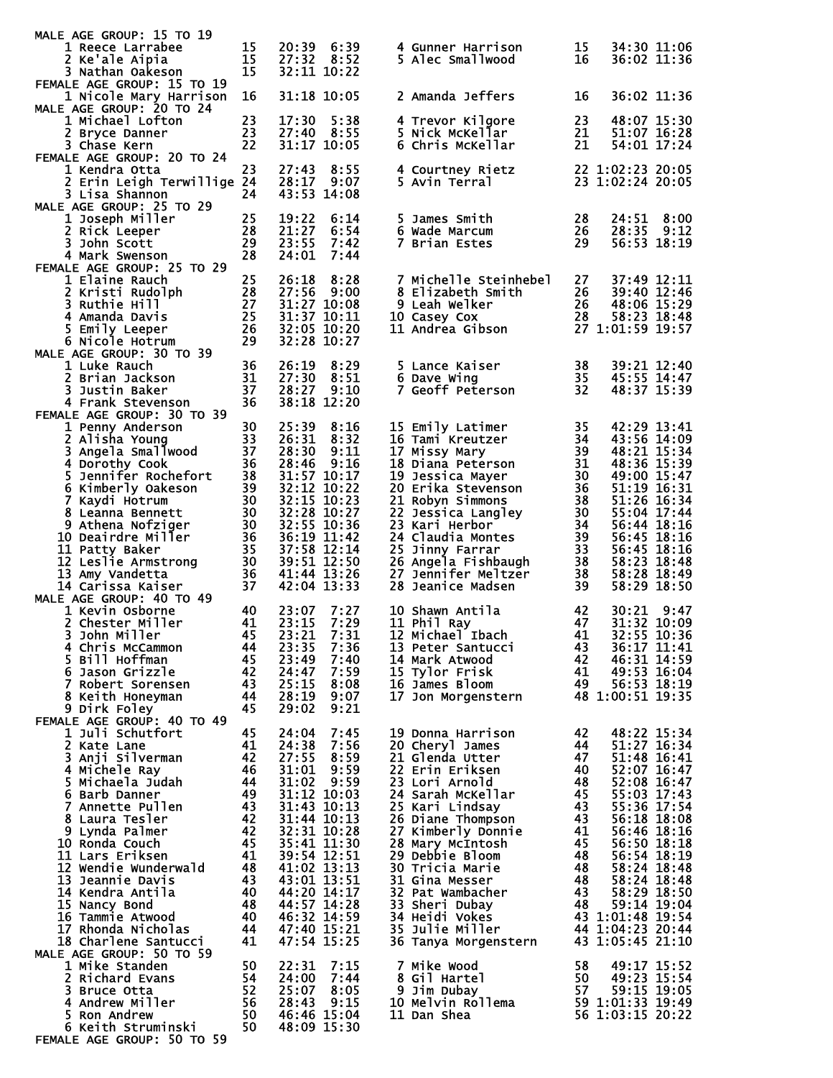| MALE AGE GROUP: 15 TO 19                                                                     |          |                            |              |                                                                                                                                                                                                                                      |           |                            |      |
|----------------------------------------------------------------------------------------------|----------|----------------------------|--------------|--------------------------------------------------------------------------------------------------------------------------------------------------------------------------------------------------------------------------------------|-----------|----------------------------|------|
| 1 Reece Larrabee<br>2 Ke'ale Aipia                                                           | 15<br>15 | 20:39 6:39<br>27:32 8:52   |              | 4 Gunner Harrison<br>5 Alec Smallwood                                                                                                                                                                                                | 15<br>16  | 34:30 11:06<br>36:02 11:36 |      |
| 3 Nathan Oakeson                                                                             | 15       | 32:11 10:22                |              |                                                                                                                                                                                                                                      |           |                            |      |
| FEMALE AGE GROUP: 15 TO 19                                                                   |          |                            |              |                                                                                                                                                                                                                                      |           |                            |      |
| 1 Nicole Mary Harrison                                                                       | 16       |                            | 31:18 10:05  | 2 Amanda Jeffers                                                                                                                                                                                                                     | 16        | 36:02 11:36                |      |
| MALE AGE GROUP: 20 TO 24                                                                     |          |                            |              |                                                                                                                                                                                                                                      |           |                            |      |
| 1 Michael Lofton                                                                             | 23       | 17:30                      | 5:38         | 4 Trevor Kilgore                                                                                                                                                                                                                     | 23        | 48:07 15:30                |      |
| 2 Bryce Danner                                                                               | 23       | 27:40                      | 8:55         | 5 Nick McKellar                                                                                                                                                                                                                      | 21        | 51:07 16:28                |      |
| 3 Chase Kern<br>FEMALE AGE GROUP: 20 TO 24                                                   | 22       | 31:17 10:05                |              | 6 Chris McKellar                                                                                                                                                                                                                     | 21        | 54:01 17:24                |      |
| 1 Kendra Otta                                                                                | 23       | 27:43                      | 8:55         | 4 Courtney Rietz                                                                                                                                                                                                                     |           | 22 1:02:23 20:05           |      |
| 2 Erin Leigh Terwillige 24                                                                   |          | 28:17 9:07                 |              | 5 Avin Terral                                                                                                                                                                                                                        |           | 23 1:02:24 20:05           |      |
| 3 Lisa Shannon                                                                               | 24       | 43:53 14:08                |              |                                                                                                                                                                                                                                      |           |                            |      |
| MALE AGE GROUP: 25 TO 29                                                                     |          |                            |              |                                                                                                                                                                                                                                      |           |                            |      |
| 1 Joseph Miller                                                                              | 25       | 19:22                      | 6:14         | 5 James Smith                                                                                                                                                                                                                        | 28        | 24:51                      | 8:00 |
| 2 Rick Leeper                                                                                | 28       | 21:27                      | 6:54         | 6 Wade Marcum                                                                                                                                                                                                                        | 26        | 28:35 9:12                 |      |
| 3 John Scott                                                                                 | 29       | 23:55                      | 7:42         | 7 Brian Estes                                                                                                                                                                                                                        | 29        | 56:53 18:19                |      |
| 4 Mark Swenson                                                                               | 28       | 24:01                      | 7:44         |                                                                                                                                                                                                                                      |           |                            |      |
| FEMALE AGE GROUP: 25 TO 29                                                                   |          |                            |              |                                                                                                                                                                                                                                      |           |                            |      |
| 1 Elaine Rauch                                                                               | 25       | 26:18                      | 8:28         | 7 Michelle Steinhebel                                                                                                                                                                                                                | 27        | 37:49 12:11                |      |
| 2 Kristi Rudolph<br>3 Ruthie Hill                                                            |          | 27:56 9:00<br>31:27 10:08  |              |                                                                                                                                                                                                                                      |           | 39:40 12:46<br>48:06 15:29 |      |
| $\frac{28}{27}$<br>$\frac{25}{26}$<br>4 Amanda Davis                                         |          |                            | 31:37 10:11  | Continue of the Control of Control of Control Control Control Control Control Control Control Contro<br>10 Casey Cox Control Control Control Control Control Control Control Control Control Control Control Control<br>11 Andrea Gi |           | 58:23 18:48                |      |
| 5 Emily Leeper                                                                               | 26       | 32:05 10:20                |              |                                                                                                                                                                                                                                      |           | 27 1:01:59 19:57           |      |
| 6 Nicole Hotrum                                                                              | 29       |                            | 32:28 10:27  |                                                                                                                                                                                                                                      |           |                            |      |
| MALE AGE GROUP: 30 TO 39                                                                     |          |                            |              |                                                                                                                                                                                                                                      |           |                            |      |
| 1 Luke Rauch                                                                                 | 36       | 26:19                      | 8:29         | 5 Lance Kaiser                                                                                                                                                                                                                       | 38        | 39:21 12:40                |      |
| 2 Brian Jackson                                                                              | 31       | 27:30                      | 8:51         | 6 Dave Wing                                                                                                                                                                                                                          | 35        | 45:55 14:47                |      |
| 3 Justin Baker                                                                               | 37       | 28:27 9:10                 |              | <b>7 Geoff Peterson</b>                                                                                                                                                                                                              | 32        | 48:37 15:39                |      |
| 4 Frank Stevenson                                                                            | 36       |                            | 38:18 12:20  |                                                                                                                                                                                                                                      |           |                            |      |
| FEMALE AGE GROUP: 30 TO 39                                                                   |          |                            |              |                                                                                                                                                                                                                                      |           |                            |      |
| 1 Penny Anderson<br>1 Penny Anwyser<br>2 Alisha Young<br>3 Angela Smallwood<br>1 Angela Cook | 30       | 25:39                      | 8:16         | 15 Emily Latimer                                                                                                                                                                                                                     | 35        | 42:29 13:41                |      |
|                                                                                              | 33<br>37 | 26:31<br>28:30             | 8:32<br>9:11 | 16 Tami Kreutzer<br>17 Missy Mary                                                                                                                                                                                                    | 34<br>-39 | 43:56 14:09<br>48:21 15:34 |      |
| 4 Dorothy Cook                                                                               | 36       | 28:46                      | 9:16         | 18 Diana Peterson                                                                                                                                                                                                                    | 31        | 48:36 15:39                |      |
|                                                                                              | 38       | 31:57 10:17                |              | 19 Jessica Mayer                                                                                                                                                                                                                     | 30        | 49:00 15:47                |      |
| - Borothy Cook<br>5 Jennifer Rochefort<br>6 Kimberly Oakeson                                 | 39       | 32:12 10:22                |              | 20 Erika Stevenson                                                                                                                                                                                                                   | 36        | 51:19 16:31                |      |
| 7 Kaydi Hotrum                                                                               | 30       | 32:15 10:23                |              | 21 Robyn Simmons                                                                                                                                                                                                                     | 38        | 51:26 16:34                |      |
| 8 Leanna Bennett                                                                             | 30       |                            | 32:28 10:27  | 22 Jessica Langley                                                                                                                                                                                                                   | 30        | 55:04 17:44                |      |
| 9 Athena Nofziger                                                                            | 30       | 32:55 10:36                |              | 23 Kari Herbor                                                                                                                                                                                                                       | 34        | 56:44 18:16                |      |
| 10 Deairdre Miller                                                                           | 36       | 36:19 11:42                |              | 24 Claudia Montes                                                                                                                                                                                                                    | 39        | 56:45 18:16                |      |
| 11 Patty Baker                                                                               | 35       | 37:58 12:14                |              | 25 Jinny Farrar                                                                                                                                                                                                                      | 33        | 56:45 18:16                |      |
| 12 Leslie Armstrong                                                                          | 30<br>36 | 39:51 12:50<br>41:44 13:26 |              | 26 Angela Fishbaugh<br>27 Jennifer Meltzer                                                                                                                                                                                           | 38        | 58:23 18:48                |      |
| 13 Amy Vandetta<br>14 Carissa Kaiser                                                         | 37       | 42:04 13:33                |              | 28 Jeanice Madsen                                                                                                                                                                                                                    | 38<br>39  | 58:28 18:49<br>58:29 18:50 |      |
| MALE AGE GROUP: 40 TO 49                                                                     |          |                            |              |                                                                                                                                                                                                                                      |           |                            |      |
| 1 Kevin Osborne                                                                              | 40       | 23:07                      | 7:27         | 10 Shawn Antila                                                                                                                                                                                                                      | 42        | 30:21 9:47                 |      |
| 2 Chester Miller                                                                             | 41       | 23:15                      | 7:29         | 11 Phil Ray                                                                                                                                                                                                                          | 47        | 31:32 10:09                |      |
| 3 John Miller                                                                                | 45       | 23:21                      | 7:31         | 12 Michael Ibach                                                                                                                                                                                                                     | 41        | 32:55 10:36                |      |
| 4 Chris McCammon                                                                             | 44       | 23:35                      | 7:36         |                                                                                                                                                                                                                                      |           |                            |      |
| 5 Bill Hoffman                                                                               |          |                            |              | 13 Peter Santucci                                                                                                                                                                                                                    | 43        | 36:17 11:41                |      |
|                                                                                              | 45       | 23:49                      | 7:40         | 14 Mark Atwood                                                                                                                                                                                                                       | 42        | 46:31 14:59                |      |
| 6 Jason Grizzle                                                                              | 42       | 24:47                      | 7:59         | 15 Tylor Frisk                                                                                                                                                                                                                       | 41        | 49:53 16:04                |      |
| 7 Robert Sorensen                                                                            | 43       | 25:15                      | 8:08         | 16 James Bloom                                                                                                                                                                                                                       | 49        | 56:53 18:19                |      |
| 8 Keith Honeyman                                                                             | 44       | 28:19                      | 9:07         | 17 Jon Morgenstern                                                                                                                                                                                                                   |           | 48 1:00:51 19:35           |      |
| 9 Dirk Foley                                                                                 | 45       | 29:02                      | 9:21         |                                                                                                                                                                                                                                      |           |                            |      |
| FEMALE AGE GROUP: 40 TO 49<br>1 Juli Schutfort                                               |          | 24:04                      |              | 19 Donna Harrison                                                                                                                                                                                                                    |           |                            |      |
|                                                                                              | 45<br>41 | 24:38                      | 7:45<br>7:56 |                                                                                                                                                                                                                                      | 42<br>44  | 48:22 15:34<br>51:27 16:34 |      |
| 2 Kate Lane<br>3 Anji Silverman                                                              | 42       | 27:55                      | 8:59         | 20 Cheryl James<br>21 Glenda Utter                                                                                                                                                                                                   | 47        | 51:48 16:41                |      |
| 4 Michele Ray                                                                                | 46       | 31:01                      | 9:59         | 22 Erin Eriksen                                                                                                                                                                                                                      | 40        | 52:07 16:47                |      |
| 5 Michaela Judah                                                                             | 44       | 31:02                      | 9:59         | 23 Lori Arnold                                                                                                                                                                                                                       | 48        | 52:08 16:47                |      |
| 6 Barb Danner                                                                                | 49       | 31:12 10:03                |              | 24 Sarah McKellar                                                                                                                                                                                                                    | 45        | 55:03 17:43                |      |
| 7 Annette Pullen                                                                             | 43       | 31:43 10:13                |              | 25 Kari Lindsay                                                                                                                                                                                                                      | 43        | 55:36 17:54                |      |
| 8 Laura Tesler                                                                               | 42       |                            |              | 26 Diane Thompson                                                                                                                                                                                                                    | 43        | 56:18 18:08                |      |
| 9 Lynda Palmer                                                                               | 42       | 31:44 10:13<br>32:31 10:28 |              | 27 Kimberly Donnie                                                                                                                                                                                                                   | 41        | 56:46 18:16                |      |
| 10 Ronda Couch                                                                               | 45       | 35:41 11:30                |              | 28 Mary McIntosh                                                                                                                                                                                                                     | 45        | 56:50 18:18                |      |
| 11 Lars Eriksen                                                                              | 41       | 39:54 12:51                |              | 29 Debbie Bloom                                                                                                                                                                                                                      | 48        | 56:54 18:19                |      |
| 12 Wendie Wunderwald<br>13 Jeannie Davis                                                     | 48<br>43 | 41:02 13:13<br>43:01 13:51 |              | 30 Tricia Marie<br>31 Gina Messer                                                                                                                                                                                                    | 48<br>48  | 58:24 18:48<br>58:24 18:48 |      |
| 14 Kendra Antila                                                                             | 40       | 44:20 14:17                |              | 32 Pat Wambacher                                                                                                                                                                                                                     | 43        | 58:29 18:50                |      |
| 15 Nancy Bond                                                                                | 48       | 44:57 14:28                |              | 33 Sheri Dubay                                                                                                                                                                                                                       | 48        | 59:14 19:04                |      |
| 16 Tammie Atwood                                                                             | 40       | 46:32 14:59                |              | 34 Heidi Vokes                                                                                                                                                                                                                       |           | 43 1:01:48 19:54           |      |
| 17 Rhonda Nicholas                                                                           | 44       | 47:40 15:21                |              | 35 Julie Miller                                                                                                                                                                                                                      |           | 44 1:04:23 20:44           |      |
| 18 Charlene Santucci                                                                         | 41       | 47:54 15:25                |              | 36 Tanya Morgenstern                                                                                                                                                                                                                 |           | 43 1:05:45 21:10           |      |
| MALE AGE GROUP: 50 TO 59                                                                     |          |                            |              |                                                                                                                                                                                                                                      |           |                            |      |
| 1 Mike Standen                                                                               | 50       | 22:31                      | 7:15<br>7:44 | 7 Mike Wood                                                                                                                                                                                                                          | 58        | 49:17 15:52                |      |
| 2 Richard Evans<br>3 Bruce Otta                                                              | 54<br>52 | 24:00<br>25:07             | 8:05         | 8 Gil Hartel<br>9 Jim Dubay                                                                                                                                                                                                          | 50<br>57  | 49:23 15:54<br>59:15 19:05 |      |
| 4 Andrew Miller                                                                              | 56       | 28:43                      | 9:15         | 10 Melvin Rollema                                                                                                                                                                                                                    |           | 59 1:01:33 19:49           |      |
| 5 Ron Andrew<br>6 Keith Struminski                                                           | 50<br>50 | 46:46 15:04<br>48:09 15:30 |              | 11 Dan Shea                                                                                                                                                                                                                          |           | 56 1:03:15 20:22           |      |

FEMALE AGE GROUP: 50 TO 59